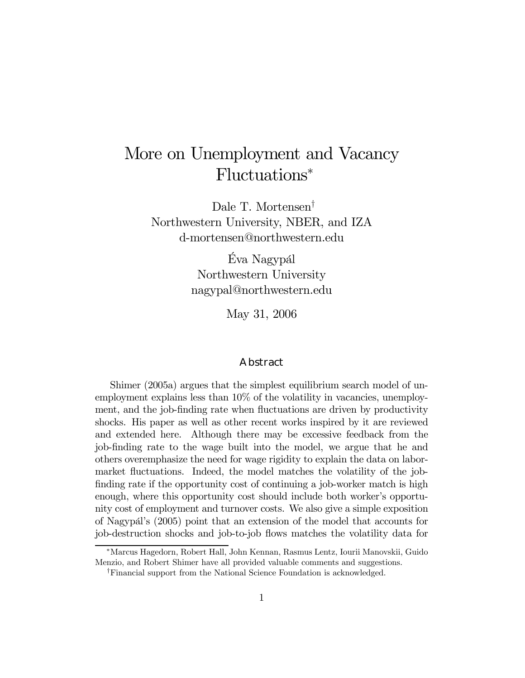# More on Unemployment and Vacancy Fluctuations<sup>∗</sup>

Dale T. Mortensen<sup>†</sup> Northwestern University, NBER, and IZA d-mortensen@northwestern.edu

> Éva Nagypál Northwestern University nagypal@northwestern.edu

> > May 31, 2006

#### Abstract

Shimer (2005a) argues that the simplest equilibrium search model of unemployment explains less than 10% of the volatility in vacancies, unemployment, and the job-finding rate when fluctuations are driven by productivity shocks. His paper as well as other recent works inspired by it are reviewed and extended here. Although there may be excessive feedback from the job-finding rate to the wage built into the model, we argue that he and others overemphasize the need for wage rigidity to explain the data on labormarket fluctuations. Indeed, the model matches the volatility of the jobfinding rate if the opportunity cost of continuing a job-worker match is high enough, where this opportunity cost should include both worker's opportunity cost of employment and turnover costs. We also give a simple exposition of Nagypál's (2005) point that an extension of the model that accounts for job-destruction shocks and job-to-job flows matches the volatility data for

<sup>∗</sup>Marcus Hagedorn, Robert Hall, John Kennan, Rasmus Lentz, Iourii Manovskii, Guido Menzio, and Robert Shimer have all provided valuable comments and suggestions.

<sup>&</sup>lt;sup>†</sup>Financial support from the National Science Foundation is acknowledged.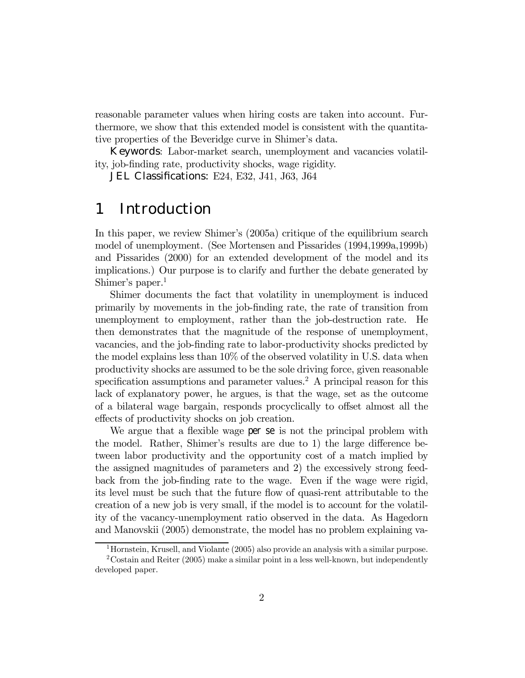reasonable parameter values when hiring costs are taken into account. Furthermore, we show that this extended model is consistent with the quantitative properties of the Beveridge curve in Shimer's data.

Keywords: Labor-market search, unemployment and vacancies volatility, job-finding rate, productivity shocks, wage rigidity.

**JEL Classifications:** E24, E32, J41, J63, J64

## 1 Introduction

In this paper, we review Shimer's (2005a) critique of the equilibrium search model of unemployment. (See Mortensen and Pissarides (1994,1999a,1999b) and Pissarides (2000) for an extended development of the model and its implications.) Our purpose is to clarify and further the debate generated by Shimer's paper. $<sup>1</sup>$ </sup>

Shimer documents the fact that volatility in unemployment is induced primarily by movements in the job-finding rate, the rate of transition from unemployment to employment, rather than the job-destruction rate. He then demonstrates that the magnitude of the response of unemployment, vacancies, and the job-finding rate to labor-productivity shocks predicted by the model explains less than 10% of the observed volatility in U.S. data when productivity shocks are assumed to be the sole driving force, given reasonable specification assumptions and parameter values.<sup>2</sup> A principal reason for this lack of explanatory power, he argues, is that the wage, set as the outcome of a bilateral wage bargain, responds procyclically to offset almost all the effects of productivity shocks on job creation.

We argue that a flexible wage per se is not the principal problem with the model. Rather, Shimer's results are due to 1) the large difference between labor productivity and the opportunity cost of a match implied by the assigned magnitudes of parameters and 2) the excessively strong feedback from the job-finding rate to the wage. Even if the wage were rigid, its level must be such that the future flow of quasi-rent attributable to the creation of a new job is very small, if the model is to account for the volatility of the vacancy-unemployment ratio observed in the data. As Hagedorn and Manovskii (2005) demonstrate, the model has no problem explaining va-

<sup>&</sup>lt;sup>1</sup>Hornstein, Krusell, and Violante (2005) also provide an analysis with a similar purpose.

 $2^2$ Costain and Reiter (2005) make a similar point in a less well-known, but independently developed paper.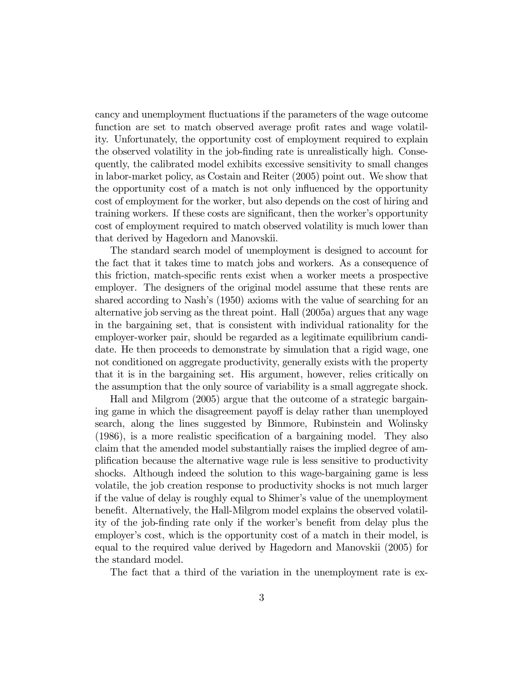cancy and unemployment fluctuations if the parameters of the wage outcome function are set to match observed average profit rates and wage volatility. Unfortunately, the opportunity cost of employment required to explain the observed volatility in the job-finding rate is unrealistically high. Consequently, the calibrated model exhibits excessive sensitivity to small changes in labor-market policy, as Costain and Reiter (2005) point out. We show that the opportunity cost of a match is not only influenced by the opportunity cost of employment for the worker, but also depends on the cost of hiring and training workers. If these costs are significant, then the worker's opportunity cost of employment required to match observed volatility is much lower than that derived by Hagedorn and Manovskii.

The standard search model of unemployment is designed to account for the fact that it takes time to match jobs and workers. As a consequence of this friction, match-specific rents exist when a worker meets a prospective employer. The designers of the original model assume that these rents are shared according to Nash's (1950) axioms with the value of searching for an alternative job serving as the threat point. Hall (2005a) argues that any wage in the bargaining set, that is consistent with individual rationality for the employer-worker pair, should be regarded as a legitimate equilibrium candidate. He then proceeds to demonstrate by simulation that a rigid wage, one not conditioned on aggregate productivity, generally exists with the property that it is in the bargaining set. His argument, however, relies critically on the assumption that the only source of variability is a small aggregate shock.

Hall and Milgrom (2005) argue that the outcome of a strategic bargaining game in which the disagreement payoff is delay rather than unemployed search, along the lines suggested by Binmore, Rubinstein and Wolinsky (1986), is a more realistic specification of a bargaining model. They also claim that the amended model substantially raises the implied degree of amplification because the alternative wage rule is less sensitive to productivity shocks. Although indeed the solution to this wage-bargaining game is less volatile, the job creation response to productivity shocks is not much larger if the value of delay is roughly equal to Shimerís value of the unemployment benefit. Alternatively, the Hall-Milgrom model explains the observed volatility of the job-finding rate only if the worker's benefit from delay plus the employer's cost, which is the opportunity cost of a match in their model, is equal to the required value derived by Hagedorn and Manovskii (2005) for the standard model.

The fact that a third of the variation in the unemployment rate is ex-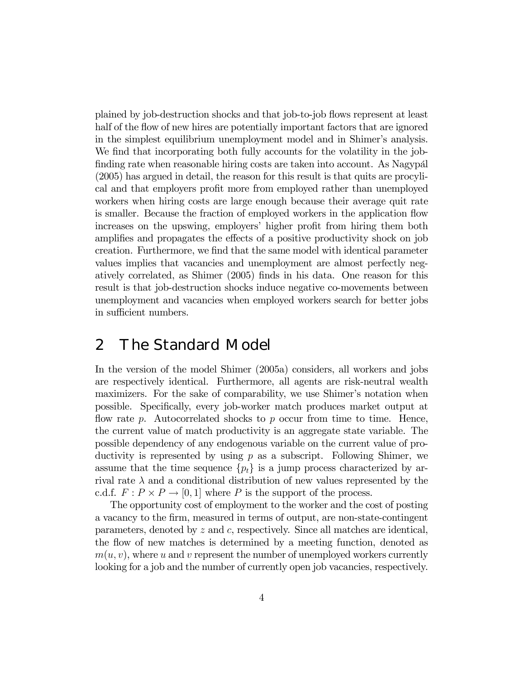plained by job-destruction shocks and that job-to-job flows represent at least half of the flow of new hires are potentially important factors that are ignored in the simplest equilibrium unemployment model and in Shimer's analysis. We find that incorporating both fully accounts for the volatility in the jobfinding rate when reasonable hiring costs are taken into account. As Nagypal (2005) has argued in detail, the reason for this result is that quits are procylical and that employers profit more from employed rather than unemployed workers when hiring costs are large enough because their average quit rate is smaller. Because the fraction of employed workers in the application flow increases on the upswing, employers' higher profit from hiring them both amplifies and propagates the effects of a positive productivity shock on job creation. Furthermore, we find that the same model with identical parameter values implies that vacancies and unemployment are almost perfectly negatively correlated, as Shimer (2005) finds in his data. One reason for this result is that job-destruction shocks induce negative co-movements between unemployment and vacancies when employed workers search for better jobs in sufficient numbers.

### 2 The Standard Model

In the version of the model Shimer (2005a) considers, all workers and jobs are respectively identical. Furthermore, all agents are risk-neutral wealth maximizers. For the sake of comparability, we use Shimer's notation when possible. Specifically, every job-worker match produces market output at flow rate p. Autocorrelated shocks to p occur from time to time. Hence, the current value of match productivity is an aggregate state variable. The possible dependency of any endogenous variable on the current value of productivity is represented by using  $p$  as a subscript. Following Shimer, we assume that the time sequence  $\{p_t\}$  is a jump process characterized by arrival rate  $\lambda$  and a conditional distribution of new values represented by the c.d.f.  $F: P \times P \to [0, 1]$  where P is the support of the process.

The opportunity cost of employment to the worker and the cost of posting a vacancy to the firm, measured in terms of output, are non-state-contingent parameters, denoted by z and c, respectively. Since all matches are identical, the flow of new matches is determined by a meeting function, denoted as  $m(u, v)$ , where u and v represent the number of unemployed workers currently looking for a job and the number of currently open job vacancies, respectively.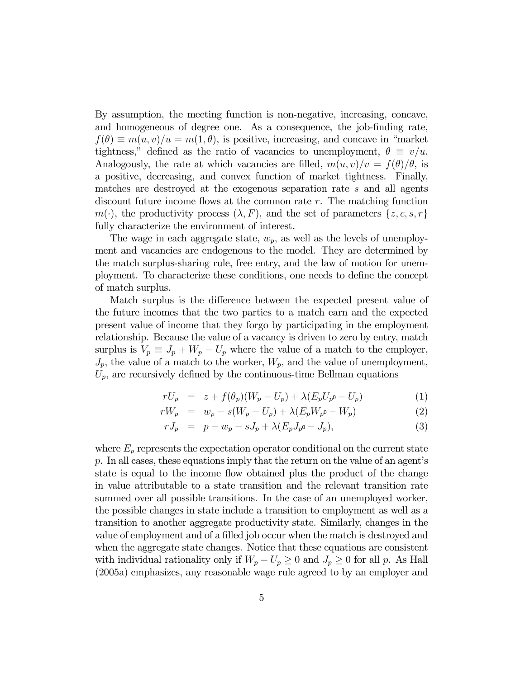By assumption, the meeting function is non-negative, increasing, concave, and homogeneous of degree one. As a consequence, the job-finding rate,  $f(\theta) \equiv m(u, v)/u = m(1, \theta)$ , is positive, increasing, and concave in "market" tightness," defined as the ratio of vacancies to unemployment,  $\theta \equiv v/u$ . Analogously, the rate at which vacancies are filled,  $m(u, v)/v = f(\theta)/\theta$ , is a positive, decreasing, and convex function of market tightness. Finally, matches are destroyed at the exogenous separation rate s and all agents discount future income flows at the common rate  $r$ . The matching function  $m(\cdot)$ , the productivity process  $(\lambda, F)$ , and the set of parameters  $\{z, c, s, r\}$ fully characterize the environment of interest.

The wage in each aggregate state,  $w_p$ , as well as the levels of unemployment and vacancies are endogenous to the model. They are determined by the match surplus-sharing rule, free entry, and the law of motion for unemployment. To characterize these conditions, one needs to define the concept of match surplus.

Match surplus is the difference between the expected present value of the future incomes that the two parties to a match earn and the expected present value of income that they forgo by participating in the employment relationship. Because the value of a vacancy is driven to zero by entry, match surplus is  $V_p \equiv J_p + W_p - U_p$  where the value of a match to the employer,  $J_p$ , the value of a match to the worker,  $W_p$ , and the value of unemployment,  $U_p$ , are recursively defined by the continuous-time Bellman equations

$$
rU_p = z + f(\theta_p)(W_p - U_p) + \lambda (E_p U_{p^0} - U_p)
$$
 (1)

$$
rW_p = w_p - s(W_p - U_p) + \lambda (E_p W_{p^0} - W_p)
$$
 (2)

$$
rJ_p = p - w_p - sJ_p + \lambda (E_p J_{p^0} - J_p), \tag{3}
$$

where  $E_p$  represents the expectation operator conditional on the current state  $p.$  In all cases, these equations imply that the return on the value of an agent's state is equal to the income flow obtained plus the product of the change in value attributable to a state transition and the relevant transition rate summed over all possible transitions. In the case of an unemployed worker, the possible changes in state include a transition to employment as well as a transition to another aggregate productivity state. Similarly, changes in the value of employment and of a filled job occur when the match is destroyed and when the aggregate state changes. Notice that these equations are consistent with individual rationality only if  $W_p - U_p \geq 0$  and  $J_p \geq 0$  for all p. As Hall (2005a) emphasizes, any reasonable wage rule agreed to by an employer and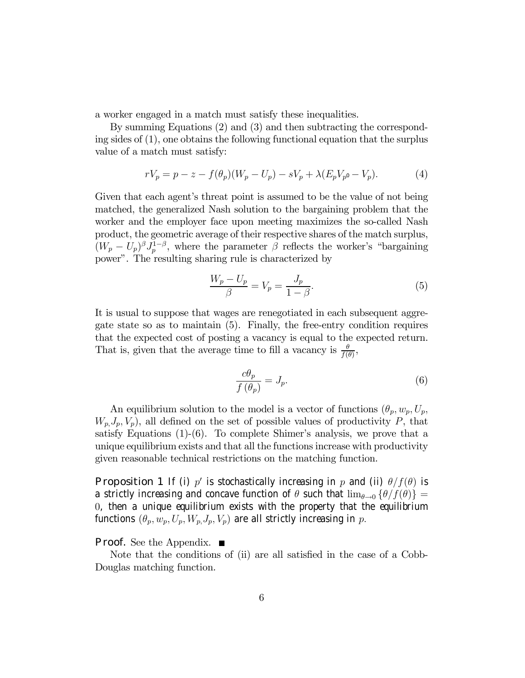a worker engaged in a match must satisfy these inequalities.

By summing Equations (2) and (3) and then subtracting the corresponding sides of (1), one obtains the following functional equation that the surplus value of a match must satisfy:

$$
rV_p = p - z - f(\theta_p)(W_p - U_p) - sV_p + \lambda(E_pV_{p^0} - V_p).
$$
 (4)

Given that each agent's threat point is assumed to be the value of not being matched, the generalized Nash solution to the bargaining problem that the worker and the employer face upon meeting maximizes the so-called Nash product, the geometric average of their respective shares of the match surplus,  $(W_p - U_p)^{\beta} J_p^{1-\beta}$ , where the parameter  $\beta$  reflects the worker's "bargaining" power". The resulting sharing rule is characterized by

$$
\frac{W_p - U_p}{\beta} = V_p = \frac{J_p}{1 - \beta}.\tag{5}
$$

It is usual to suppose that wages are renegotiated in each subsequent aggregate state so as to maintain (5). Finally, the free-entry condition requires that the expected cost of posting a vacancy is equal to the expected return. That is, given that the average time to fill a vacancy is  $\frac{\theta}{f(\theta)}$ ,

$$
\frac{c\theta_p}{f\left(\theta_p\right)} = J_p. \tag{6}
$$

An equilibrium solution to the model is a vector of functions  $(\theta_p, w_p, U_p, \theta_p)$  $W_p, J_p, V_p$ , all defined on the set of possible values of productivity P, that satisfy Equations  $(1)-(6)$ . To complete Shimer's analysis, we prove that a unique equilibrium exists and that all the functions increase with productivity given reasonable technical restrictions on the matching function.

**Proposition 1** If (i) p' is stochastically increasing in p and (ii)  $\theta/f(\theta)$  is a strictly increasing and concave function of  $\theta$  such that  $\lim_{\theta\to 0} {\{\theta/f(\theta)\}} =$ 0, then a unique equilibrium exists with the property that the equilibrium functions  $(\theta_p, w_p, U_p, W_p, J_p, V_p)$  are all strictly increasing in p.

#### **Proof.** See the Appendix. ■

Note that the conditions of (ii) are all satisfied in the case of a Cobb-Douglas matching function.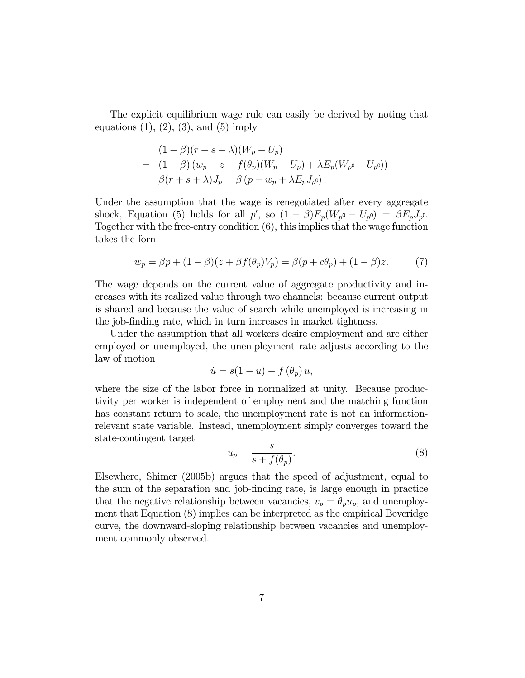The explicit equilibrium wage rule can easily be derived by noting that equations  $(1), (2), (3),$  and  $(5)$  imply

$$
(1 - \beta)(r + s + \lambda)(W_p - U_p)
$$
  
=  $(1 - \beta)(w_p - z - f(\theta_p)(W_p - U_p) + \lambda E_p(W_{p^0} - U_{p^0}))$   
=  $\beta(r + s + \lambda)J_p = \beta(p - w_p + \lambda E_p J_{p^0}).$ 

Under the assumption that the wage is renegotiated after every aggregate shock, Equation (5) holds for all  $p'$ , so  $(1 - \beta)E_p(W_{p^0} - U_{p^0}) = \beta E_p J_{p^0}$ . Together with the free-entry condition (6), this implies that the wage function takes the form

$$
w_p = \beta p + (1 - \beta)(z + \beta f(\theta_p)V_p) = \beta(p + c\theta_p) + (1 - \beta)z.
$$
 (7)

The wage depends on the current value of aggregate productivity and increases with its realized value through two channels: because current output is shared and because the value of search while unemployed is increasing in the job-finding rate, which in turn increases in market tightness.

Under the assumption that all workers desire employment and are either employed or unemployed, the unemployment rate adjusts according to the law of motion

$$
\dot{u} = s(1 - u) - f\left(\theta_p\right)u,
$$

where the size of the labor force in normalized at unity. Because productivity per worker is independent of employment and the matching function has constant return to scale, the unemployment rate is not an informationrelevant state variable. Instead, unemployment simply converges toward the state-contingent target

$$
u_p = \frac{s}{s + f(\theta_p)}.\t\t(8)
$$

Elsewhere, Shimer (2005b) argues that the speed of adjustment, equal to the sum of the separation and job-finding rate, is large enough in practice that the negative relationship between vacancies,  $v_p = \theta_p u_p$ , and unemployment that Equation (8) implies can be interpreted as the empirical Beveridge curve, the downward-sloping relationship between vacancies and unemployment commonly observed.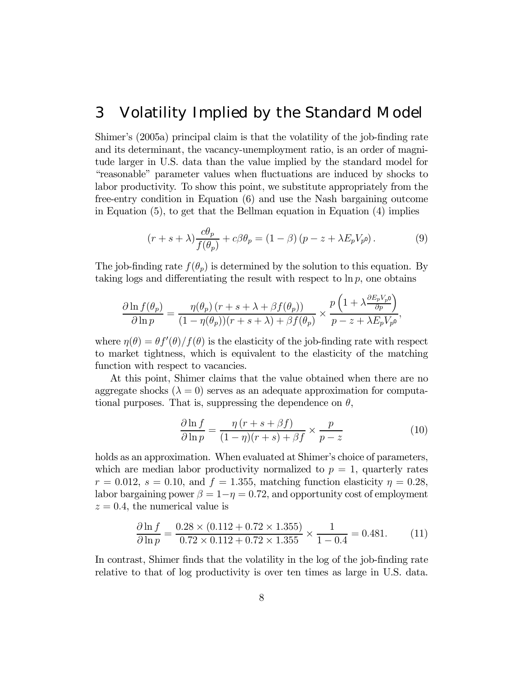### 3 Volatility Implied by the Standard Model

Shimerís (2005a) principal claim is that the volatility of the job-finding rate and its determinant, the vacancy-unemployment ratio, is an order of magnitude larger in U.S. data than the value implied by the standard model for ìreasonableî parameter values when fluctuations are induced by shocks to labor productivity. To show this point, we substitute appropriately from the free-entry condition in Equation (6) and use the Nash bargaining outcome in Equation (5), to get that the Bellman equation in Equation (4) implies

$$
(r+s+\lambda)\frac{c\theta_p}{f(\theta_p)} + c\beta\theta_p = (1-\beta)(p-z+\lambda E_p V_{p^0}).
$$
\n(9)

The job-finding rate  $f(\theta_p)$  is determined by the solution to this equation. By taking logs and differentiating the result with respect to  $\ln p$ , one obtains

$$
\frac{\partial \ln f(\theta_p)}{\partial \ln p} = \frac{\eta(\theta_p) (r+s+\lambda+\beta f(\theta_p))}{(1-\eta(\theta_p))(r+s+\lambda)+\beta f(\theta_p)} \times \frac{p\left(1+\lambda \frac{\partial E_p V_{p^0}}{\partial p}\right)}{p-z+\lambda E_p V_{p^0}},
$$

where  $\eta(\theta) = \theta f'(\theta) / f(\theta)$  is the elasticity of the job-finding rate with respect to market tightness, which is equivalent to the elasticity of the matching function with respect to vacancies.

At this point, Shimer claims that the value obtained when there are no aggregate shocks ( $\lambda = 0$ ) serves as an adequate approximation for computational purposes. That is, suppressing the dependence on  $\theta$ ,

$$
\frac{\partial \ln f}{\partial \ln p} = \frac{\eta (r+s+\beta f)}{(1-\eta)(r+s)+\beta f} \times \frac{p}{p-z}
$$
(10)

holds as an approximation. When evaluated at Shimer's choice of parameters, which are median labor productivity normalized to  $p = 1$ , quarterly rates  $r = 0.012$ ,  $s = 0.10$ , and  $f = 1.355$ , matching function elasticity  $\eta = 0.28$ , labor bargaining power  $\beta = 1 - \eta = 0.72$ , and opportunity cost of employment  $z = 0.4$ , the numerical value is

$$
\frac{\partial \ln f}{\partial \ln p} = \frac{0.28 \times (0.112 + 0.72 \times 1.355)}{0.72 \times 0.112 + 0.72 \times 1.355} \times \frac{1}{1 - 0.4} = 0.481. \tag{11}
$$

In contrast, Shimer finds that the volatility in the log of the job-finding rate relative to that of log productivity is over ten times as large in U.S. data.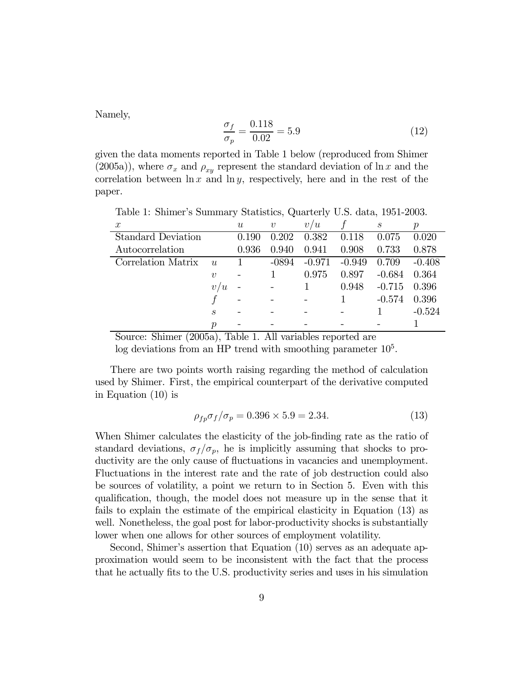Namely,

$$
\frac{\sigma_f}{\sigma_p} = \frac{0.118}{0.02} = 5.9\tag{12}
$$

given the data moments reported in Table 1 below (reproduced from Shimer (2005a)), where  $\sigma_x$  and  $\rho_{xy}$  represent the standard deviation of ln x and the correlation between  $\ln x$  and  $\ln y$ , respectively, here and in the rest of the paper.

x  $u$  v  $v/u$  f s p Standard Deviation 0.190 0.202 0.382 0.118 0.075 0.020 Autocorrelation 0.936 0.940 0.941 0.908 0.733 0.878 Correlation Matrix u 1 -0894 -0.971 -0.949 0.709 -0.408  $v$  - 1 0.975 0.897 -0.684 0.364  $v/u$  - - 1 0.948 -0.715 0.396  $f$  - - - 1 - 0.574 0.396 s - - - - - 1  $-0.524$  $p$  - - - - - - 1

Table 1: Shimerís Summary Statistics, Quarterly U.S. data, 1951-2003.

Source: Shimer (2005a), Table 1. All variables reported are

 $\log$  deviations from an HP trend with smoothing parameter  $10<sup>5</sup>$ .

There are two points worth raising regarding the method of calculation used by Shimer. First, the empirical counterpart of the derivative computed in Equation (10) is

$$
\rho_{fp}\sigma_f/\sigma_p = 0.396 \times 5.9 = 2.34. \tag{13}
$$

When Shimer calculates the elasticity of the job-finding rate as the ratio of standard deviations,  $\sigma_f/\sigma_p$ , he is implicitly assuming that shocks to productivity are the only cause of fluctuations in vacancies and unemployment. Fluctuations in the interest rate and the rate of job destruction could also be sources of volatility, a point we return to in Section 5. Even with this qualification, though, the model does not measure up in the sense that it fails to explain the estimate of the empirical elasticity in Equation (13) as well. Nonetheless, the goal post for labor-productivity shocks is substantially lower when one allows for other sources of employment volatility.

Second, Shimer's assertion that Equation (10) serves as an adequate approximation would seem to be inconsistent with the fact that the process that he actually fits to the U.S. productivity series and uses in his simulation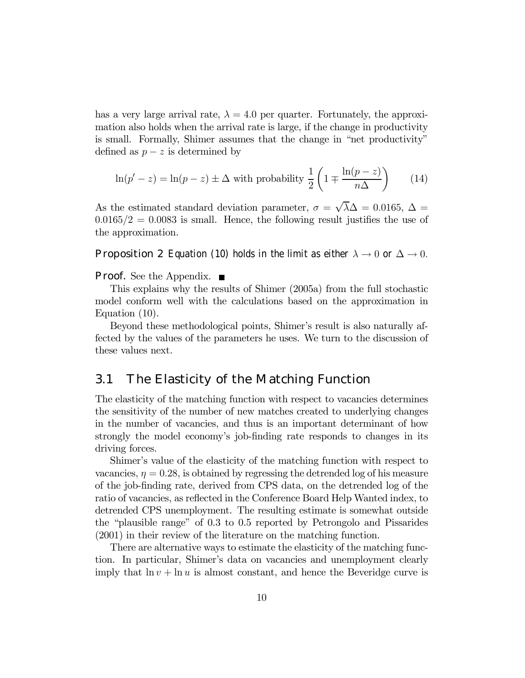has a very large arrival rate,  $\lambda = 4.0$  per quarter. Fortunately, the approximation also holds when the arrival rate is large, if the change in productivity is small. Formally, Shimer assumes that the change in "net productivity" defined as  $p - z$  is determined by

$$
\ln(p'-z) = \ln(p-z) \pm \Delta \text{ with probability } \frac{1}{2} \left( 1 \mp \frac{\ln(p-z)}{n\Delta} \right) \tag{14}
$$

As the estimated standard deviation parameter,  $\sigma = \sqrt{\lambda} \Delta = 0.0165$ ,  $\Delta =$  $0.0165/2=0.0083$  is small. Hence, the following result justifies the use of the approximation.

**Proposition 2** Equation (10) holds in the limit as either  $\lambda \to 0$  or  $\Delta \to 0$ .

**Proof.** See the Appendix.  $\blacksquare$ 

This explains why the results of Shimer (2005a) from the full stochastic model conform well with the calculations based on the approximation in Equation (10).

Beyond these methodological points, Shimer's result is also naturally affected by the values of the parameters he uses. We turn to the discussion of these values next.

#### 3.1 The Elasticity of the Matching Function

The elasticity of the matching function with respect to vacancies determines the sensitivity of the number of new matches created to underlying changes in the number of vacancies, and thus is an important determinant of how strongly the model economy's job-finding rate responds to changes in its driving forces.

Shimer's value of the elasticity of the matching function with respect to vacancies,  $\eta = 0.28$ , is obtained by regressing the detrended log of his measure of the job-finding rate, derived from CPS data, on the detrended log of the ratio of vacancies, as reflected in the Conference Board Help Wanted index, to detrended CPS unemployment. The resulting estimate is somewhat outside the "plausible range" of  $0.3$  to  $0.5$  reported by Petrongolo and Pissarides (2001) in their review of the literature on the matching function.

There are alternative ways to estimate the elasticity of the matching function. In particular, Shimer's data on vacancies and unemployment clearly imply that  $\ln v + \ln u$  is almost constant, and hence the Beveridge curve is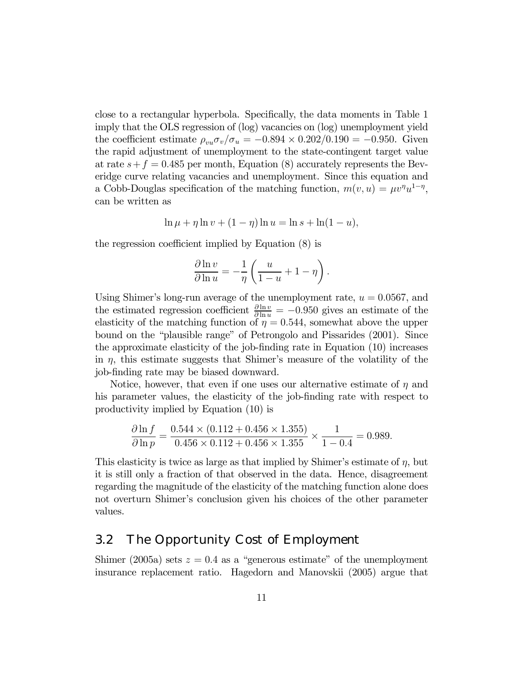close to a rectangular hyperbola. Specifically, the data moments in Table 1 imply that the OLS regression of (log) vacancies on (log) unemployment yield the coefficient estimate  $\rho_{vu}\sigma_v/\sigma_u = -0.894 \times 0.202/0.190 = -0.950$ . Given the rapid adjustment of unemployment to the state-contingent target value at rate  $s+f = 0.485$  per month, Equation (8) accurately represents the Beveridge curve relating vacancies and unemployment. Since this equation and a Cobb-Douglas specification of the matching function,  $m(v, u) = \mu v^{\eta} u^{1-\eta}$ , can be written as

$$
\ln \mu + \eta \ln v + (1 - \eta) \ln u = \ln s + \ln(1 - u),
$$

the regression coefficient implied by Equation (8) is

$$
\frac{\partial \ln v}{\partial \ln u} = -\frac{1}{\eta} \left( \frac{u}{1-u} + 1 - \eta \right).
$$

Using Shimer's long-run average of the unemployment rate,  $u = 0.0567$ , and the estimated regression coefficient  $\frac{\partial \ln v}{\partial \ln u} = -0.950$  gives an estimate of the elasticity of the matching function of  $\eta = 0.544$ , somewhat above the upper bound on the "plausible range" of Petrongolo and Pissarides (2001). Since the approximate elasticity of the job-finding rate in Equation (10) increases in  $\eta$ , this estimate suggests that Shimer's measure of the volatility of the job-finding rate may be biased downward.

Notice, however, that even if one uses our alternative estimate of  $\eta$  and his parameter values, the elasticity of the job-finding rate with respect to productivity implied by Equation (10) is

$$
\frac{\partial \ln f}{\partial \ln p} = \frac{0.544 \times (0.112 + 0.456 \times 1.355)}{0.456 \times 0.112 + 0.456 \times 1.355} \times \frac{1}{1 - 0.4} = 0.989.
$$

This elasticity is twice as large as that implied by Shimer's estimate of  $\eta$ , but it is still only a fraction of that observed in the data. Hence, disagreement regarding the magnitude of the elasticity of the matching function alone does not overturn Shimerís conclusion given his choices of the other parameter values.

### 3.2 The Opportunity Cost of Employment

Shimer (2005a) sets  $z = 0.4$  as a "generous estimate" of the unemployment insurance replacement ratio. Hagedorn and Manovskii (2005) argue that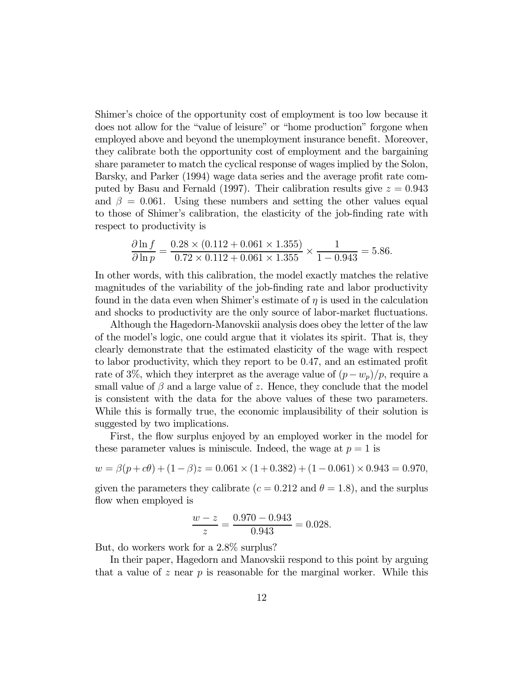Shimer's choice of the opportunity cost of employment is too low because it does not allow for the "value of leisure" or "home production" forgone when employed above and beyond the unemployment insurance benefit. Moreover, they calibrate both the opportunity cost of employment and the bargaining share parameter to match the cyclical response of wages implied by the Solon, Barsky, and Parker (1994) wage data series and the average profit rate computed by Basu and Fernald (1997). Their calibration results give  $z = 0.943$ and  $\beta = 0.061$ . Using these numbers and setting the other values equal to those of Shimer's calibration, the elasticity of the job-finding rate with respect to productivity is

$$
\frac{\partial \ln f}{\partial \ln p} = \frac{0.28 \times (0.112 + 0.061 \times 1.355)}{0.72 \times 0.112 + 0.061 \times 1.355} \times \frac{1}{1 - 0.943} = 5.86.
$$

In other words, with this calibration, the model exactly matches the relative magnitudes of the variability of the job-finding rate and labor productivity found in the data even when Shimer's estimate of  $\eta$  is used in the calculation and shocks to productivity are the only source of labor-market fluctuations.

Although the Hagedorn-Manovskii analysis does obey the letter of the law of the modelís logic, one could argue that it violates its spirit. That is, they clearly demonstrate that the estimated elasticity of the wage with respect to labor productivity, which they report to be 0.47, and an estimated profit rate of 3%, which they interpret as the average value of  $(p-w_p)/p$ , require a small value of  $\beta$  and a large value of z. Hence, they conclude that the model is consistent with the data for the above values of these two parameters. While this is formally true, the economic implausibility of their solution is suggested by two implications.

First, the flow surplus enjoyed by an employed worker in the model for these parameter values is miniscule. Indeed, the wage at  $p = 1$  is

$$
w = \beta(p + c\theta) + (1 - \beta)z = 0.061 \times (1 + 0.382) + (1 - 0.061) \times 0.943 = 0.970,
$$

given the parameters they calibrate ( $c = 0.212$  and  $\theta = 1.8$ ), and the surplus flow when employed is

$$
\frac{w-z}{z} = \frac{0.970 - 0.943}{0.943} = 0.028.
$$

But, do workers work for a 2.8% surplus?

In their paper, Hagedorn and Manovskii respond to this point by arguing that a value of z near  $p$  is reasonable for the marginal worker. While this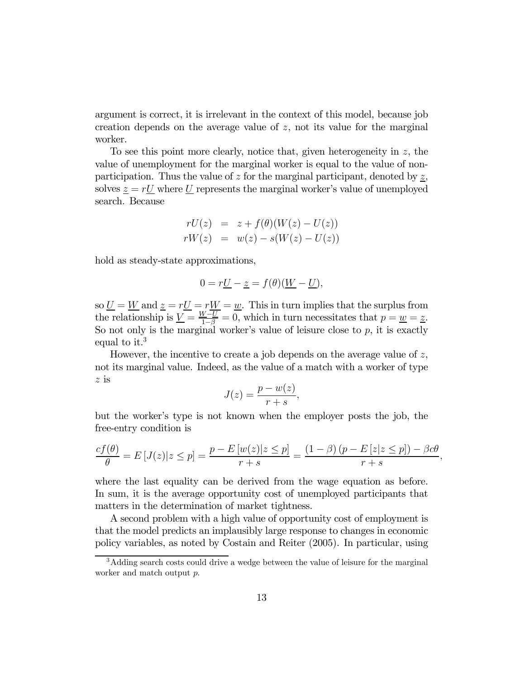argument is correct, it is irrelevant in the context of this model, because job creation depends on the average value of z, not its value for the marginal worker.

To see this point more clearly, notice that, given heterogeneity in z, the value of unemployment for the marginal worker is equal to the value of nonparticipation. Thus the value of z for the marginal participant, denoted by  $\underline{z}$ , solves  $z = rU$  where U represents the marginal worker's value of unemployed search. Because

$$
rU(z) = z + f(\theta)(W(z) - U(z))
$$
  
\n
$$
rW(z) = w(z) - s(W(z) - U(z))
$$

hold as steady-state approximations,

$$
0 = r\underline{U} - \underline{z} = f(\theta)(\underline{W} - \underline{U}),
$$

so  $\underline{U} = \underline{W}$  and  $\underline{z} = r\underline{U} = r\underline{W} = \underline{w}$ . This in turn implies that the surplus from the relationship is  $\underline{V} = \frac{W-U}{1-\beta} = 0$ , which in turn necessitates that  $p = \underline{w} = \underline{z}$ . So not only is the marginal worker's value of leisure close to  $p$ , it is exactly equal to it.<sup>3</sup>

However, the incentive to create a job depends on the average value of z, not its marginal value. Indeed, as the value of a match with a worker of type z is

$$
J(z) = \frac{p - w(z)}{r + s},
$$

but the workerís type is not known when the employer posts the job, the free-entry condition is

$$
\frac{cf(\theta)}{\theta} = E\left[J(z)|z \le p\right] = \frac{p - E\left[w(z)|z \le p\right]}{r + s} = \frac{(1 - \beta)\left(p - E\left[z|z \le p\right]\right) - \beta c\theta}{r + s},
$$

where the last equality can be derived from the wage equation as before. In sum, it is the average opportunity cost of unemployed participants that matters in the determination of market tightness.

A second problem with a high value of opportunity cost of employment is that the model predicts an implausibly large response to changes in economic policy variables, as noted by Costain and Reiter (2005). In particular, using

<sup>&</sup>lt;sup>3</sup>Adding search costs could drive a wedge between the value of leisure for the marginal worker and match output p.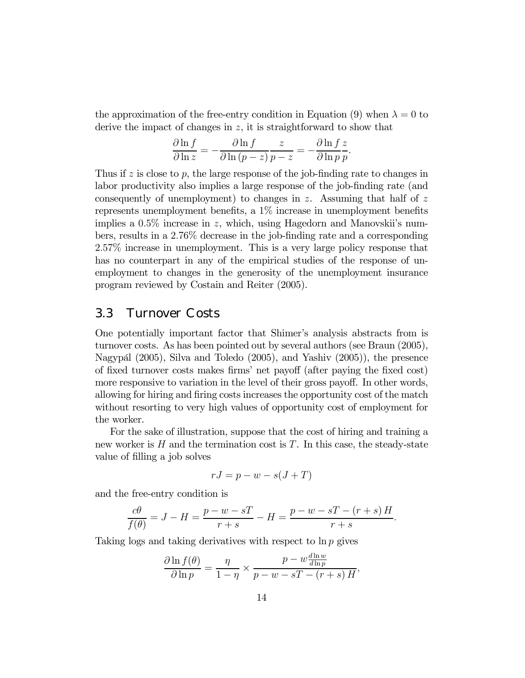the approximation of the free-entry condition in Equation (9) when  $\lambda = 0$  to derive the impact of changes in  $z$ , it is straightforward to show that

$$
\frac{\partial \ln f}{\partial \ln z} = -\frac{\partial \ln f}{\partial \ln (p-z)} \frac{z}{p-z} = -\frac{\partial \ln f}{\partial \ln p} \frac{z}{p}.
$$

Thus if  $z$  is close to  $p$ , the large response of the job-finding rate to changes in labor productivity also implies a large response of the job-finding rate (and consequently of unemployment) to changes in z. Assuming that half of  $z$ represents unemployment benefits, a 1% increase in unemployment benefits implies a  $0.5\%$  increase in z, which, using Hagedorn and Manovskii's numbers, results in a 2.76% decrease in the job-finding rate and a corresponding 2.57% increase in unemployment. This is a very large policy response that has no counterpart in any of the empirical studies of the response of unemployment to changes in the generosity of the unemployment insurance program reviewed by Costain and Reiter (2005).

#### 3.3 Turnover Costs

One potentially important factor that Shimer's analysis abstracts from is turnover costs. As has been pointed out by several authors (see Braun (2005), Nagypál  $(2005)$ , Silva and Toledo  $(2005)$ , and Yashiv  $(2005)$ ), the presence of fixed turnover costs makes firmsí net payoff (after paying the fixed cost) more responsive to variation in the level of their gross payoff. In other words, allowing for hiring and firing costs increases the opportunity cost of the match without resorting to very high values of opportunity cost of employment for the worker.

For the sake of illustration, suppose that the cost of hiring and training a new worker is  $H$  and the termination cost is  $T$ . In this case, the steady-state value of filling a job solves

$$
rJ = p - w - s(J + T)
$$

and the free-entry condition is

$$
\frac{c\theta}{f(\theta)} = J - H = \frac{p - w - sT}{r + s} - H = \frac{p - w - sT - (r + s)H}{r + s}.
$$

Taking logs and taking derivatives with respect to  $\ln p$  gives

$$
\frac{\partial \ln f(\theta)}{\partial \ln p} = \frac{\eta}{1 - \eta} \times \frac{p - w \frac{d \ln w}{d \ln p}}{p - w - sT - (r + s)H},
$$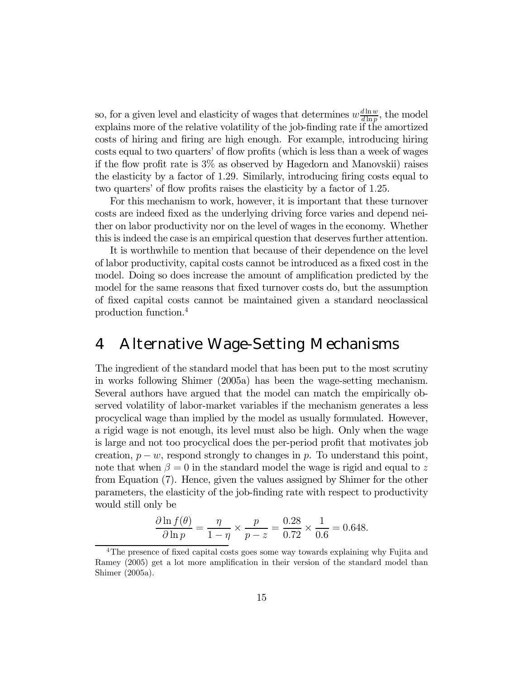so, for a given level and elasticity of wages that determines  $w \frac{d \ln w}{d \ln p}$ , the model explains more of the relative volatility of the job-finding rate if the amortized costs of hiring and firing are high enough. For example, introducing hiring costs equal to two quarters' of flow profits (which is less than a week of wages if the flow profit rate is 3% as observed by Hagedorn and Manovskii) raises the elasticity by a factor of 1.29. Similarly, introducing firing costs equal to two quarters' of flow profits raises the elasticity by a factor of 1.25.

For this mechanism to work, however, it is important that these turnover costs are indeed fixed as the underlying driving force varies and depend neither on labor productivity nor on the level of wages in the economy. Whether this is indeed the case is an empirical question that deserves further attention.

It is worthwhile to mention that because of their dependence on the level of labor productivity, capital costs cannot be introduced as a fixed cost in the model. Doing so does increase the amount of amplification predicted by the model for the same reasons that fixed turnover costs do, but the assumption of fixed capital costs cannot be maintained given a standard neoclassical production function.4

### 4 Alternative Wage-Setting Mechanisms

The ingredient of the standard model that has been put to the most scrutiny in works following Shimer (2005a) has been the wage-setting mechanism. Several authors have argued that the model can match the empirically observed volatility of labor-market variables if the mechanism generates a less procyclical wage than implied by the model as usually formulated. However, a rigid wage is not enough, its level must also be high. Only when the wage is large and not too procyclical does the per-period profit that motivates job creation,  $p - w$ , respond strongly to changes in p. To understand this point, note that when  $\beta = 0$  in the standard model the wage is rigid and equal to z from Equation (7). Hence, given the values assigned by Shimer for the other parameters, the elasticity of the job-finding rate with respect to productivity would still only be

$$
\frac{\partial \ln f(\theta)}{\partial \ln p} = \frac{\eta}{1 - \eta} \times \frac{p}{p - z} = \frac{0.28}{0.72} \times \frac{1}{0.6} = 0.648.
$$

<sup>&</sup>lt;sup>4</sup>The presence of fixed capital costs goes some way towards explaining why Fujita and Ramey (2005) get a lot more amplification in their version of the standard model than Shimer (2005a).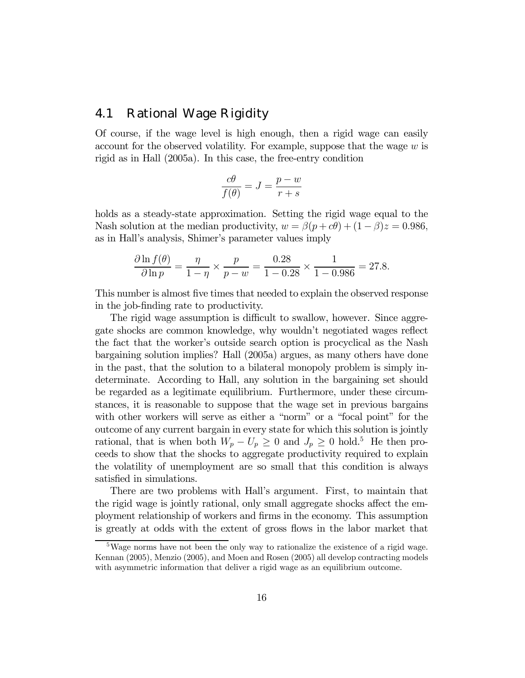#### 4.1 Rational Wage Rigidity

Of course, if the wage level is high enough, then a rigid wage can easily account for the observed volatility. For example, suppose that the wage  $w$  is rigid as in Hall (2005a). In this case, the free-entry condition

$$
\frac{c\theta}{f(\theta)} = J = \frac{p-w}{r+s}
$$

holds as a steady-state approximation. Setting the rigid wage equal to the Nash solution at the median productivity,  $w = \beta(p + c\theta) + (1 - \beta)z = 0.986$ , as in Hall's analysis, Shimer's parameter values imply

$$
\frac{\partial \ln f(\theta)}{\partial \ln p} = \frac{\eta}{1 - \eta} \times \frac{p}{p - w} = \frac{0.28}{1 - 0.28} \times \frac{1}{1 - 0.986} = 27.8.
$$

This number is almost five times that needed to explain the observed response in the job-finding rate to productivity.

The rigid wage assumption is difficult to swallow, however. Since aggregate shocks are common knowledge, why wouldnít negotiated wages reflect the fact that the worker's outside search option is procyclical as the Nash bargaining solution implies? Hall (2005a) argues, as many others have done in the past, that the solution to a bilateral monopoly problem is simply indeterminate. According to Hall, any solution in the bargaining set should be regarded as a legitimate equilibrium. Furthermore, under these circumstances, it is reasonable to suppose that the wage set in previous bargains with other workers will serve as either a "norm" or a "focal point" for the outcome of any current bargain in every state for which this solution is jointly rational, that is when both  $W_p - U_p \geq 0$  and  $J_p \geq 0$  hold.<sup>5</sup> He then proceeds to show that the shocks to aggregate productivity required to explain the volatility of unemployment are so small that this condition is always satisfied in simulations.

There are two problems with Hall's argument. First, to maintain that the rigid wage is jointly rational, only small aggregate shocks affect the employment relationship of workers and firms in the economy. This assumption is greatly at odds with the extent of gross flows in the labor market that

 $5\text{Wage}$  norms have not been the only way to rationalize the existence of a rigid wage. Kennan (2005), Menzio (2005), and Moen and Rosen (2005) all develop contracting models with asymmetric information that deliver a rigid wage as an equilibrium outcome.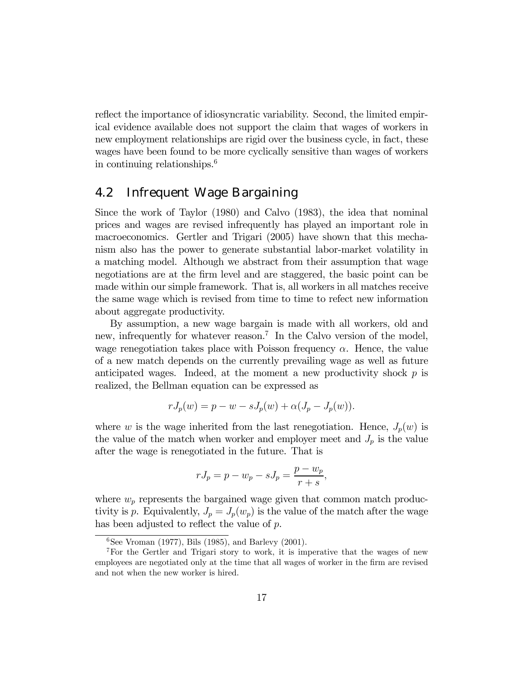reflect the importance of idiosyncratic variability. Second, the limited empirical evidence available does not support the claim that wages of workers in new employment relationships are rigid over the business cycle, in fact, these wages have been found to be more cyclically sensitive than wages of workers in continuing relationships.6

#### 4.2 Infrequent Wage Bargaining

Since the work of Taylor (1980) and Calvo (1983), the idea that nominal prices and wages are revised infrequently has played an important role in macroeconomics. Gertler and Trigari (2005) have shown that this mechanism also has the power to generate substantial labor-market volatility in a matching model. Although we abstract from their assumption that wage negotiations are at the firm level and are staggered, the basic point can be made within our simple framework. That is, all workers in all matches receive the same wage which is revised from time to time to refect new information about aggregate productivity.

By assumption, a new wage bargain is made with all workers, old and new, infrequently for whatever reason.<sup>7</sup> In the Calvo version of the model, wage renegotiation takes place with Poisson frequency  $\alpha$ . Hence, the value of a new match depends on the currently prevailing wage as well as future anticipated wages. Indeed, at the moment a new productivity shock  $p$  is realized, the Bellman equation can be expressed as

$$
rJ_p(w) = p - w - sJ_p(w) + \alpha(J_p - J_p(w)).
$$

where w is the wage inherited from the last renegotiation. Hence,  $J_p(w)$  is the value of the match when worker and employer meet and  $J_p$  is the value after the wage is renegotiated in the future. That is

$$
rJ_p = p - w_p - sJ_p = \frac{p - w_p}{r + s},
$$

where  $w_p$  represents the bargained wage given that common match productivity is p. Equivalently,  $J_p = J_p(w_p)$  is the value of the match after the wage has been adjusted to reflect the value of  $p$ .

 ${}^{6}$ See Vroman (1977), Bils (1985), and Barlevy (2001).

<sup>7</sup>For the Gertler and Trigari story to work, it is imperative that the wages of new employees are negotiated only at the time that all wages of worker in the firm are revised and not when the new worker is hired.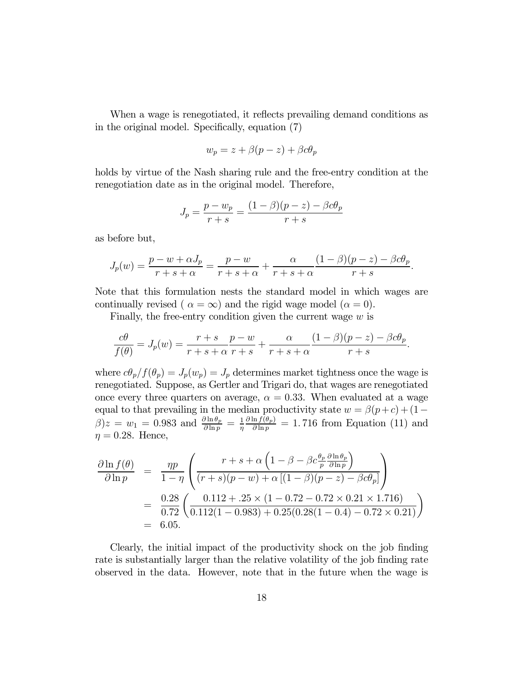When a wage is renegotiated, it reflects prevailing demand conditions as in the original model. Specifically, equation (7)

$$
w_p = z + \beta(p - z) + \beta c \theta_p
$$

holds by virtue of the Nash sharing rule and the free-entry condition at the renegotiation date as in the original model. Therefore,

$$
J_p = \frac{p - w_p}{r + s} = \frac{(1 - \beta)(p - z) - \beta c \theta_p}{r + s}
$$

as before but,

$$
J_p(w) = \frac{p - w + \alpha J_p}{r + s + \alpha} = \frac{p - w}{r + s + \alpha} + \frac{\alpha}{r + s + \alpha} \frac{(1 - \beta)(p - z) - \beta c \theta_p}{r + s}.
$$

Note that this formulation nests the standard model in which wages are continually revised (  $\alpha = \infty$ ) and the rigid wage model ( $\alpha = 0$ ).

Finally, the free-entry condition given the current wage  $w$  is

$$
\frac{c\theta}{f(\theta)} = J_p(w) = \frac{r+s}{r+s+\alpha} \frac{p-w}{r+s} + \frac{\alpha}{r+s+\alpha} \frac{(1-\beta)(p-z) - \beta c\theta_p}{r+s}.
$$

where  $c\theta_p/f(\theta_p) = J_p(w_p) = J_p$  determines market tightness once the wage is renegotiated. Suppose, as Gertler and Trigari do, that wages are renegotiated once every three quarters on average,  $\alpha = 0.33$ . When evaluated at a wage equal to that prevailing in the median productivity state  $w = \beta(p+c) + (1-\beta)p$  $\beta$ ) $z = w_1 = 0.983$  and  $\frac{\partial \ln \theta_p}{\partial \ln p} = \frac{1}{\eta}$  $\partial \ln f(\theta_p)$  $\frac{\ln f(\theta_p)}{\partial \ln p} = 1.716$  from Equation (11) and  $\eta = 0.28$ . Hence,

$$
\frac{\partial \ln f(\theta)}{\partial \ln p} = \frac{\eta p}{1 - \eta} \left( \frac{r + s + \alpha \left(1 - \beta - \beta c \frac{\theta_p}{p} \frac{\partial \ln \theta_p}{\partial \ln p} \right)}{(r + s)(p - w) + \alpha \left[ (1 - \beta)(p - z) - \beta c \theta_p \right]} \right)
$$
  
= 
$$
\frac{0.28}{0.72} \left( \frac{0.112 + .25 \times (1 - 0.72 - 0.72 \times 0.21 \times 1.716)}{0.112(1 - 0.983) + 0.25(0.28(1 - 0.4) - 0.72 \times 0.21)} \right)
$$
  
= 6.05.

Clearly, the initial impact of the productivity shock on the job finding rate is substantially larger than the relative volatility of the job finding rate observed in the data. However, note that in the future when the wage is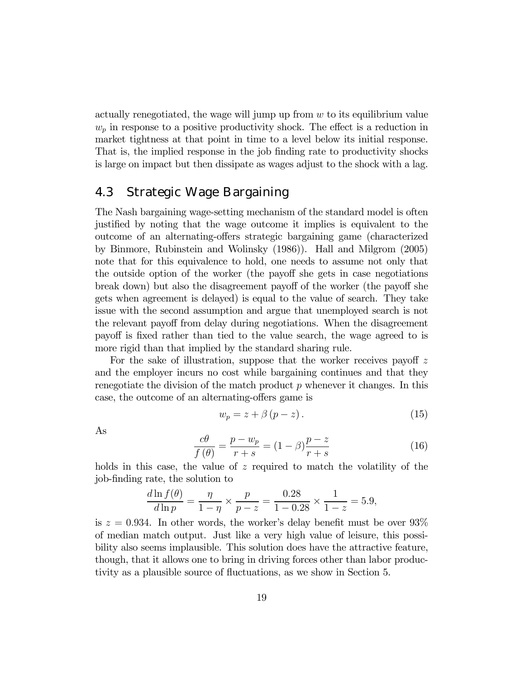actually renegotiated, the wage will jump up from  $w$  to its equilibrium value  $w_p$  in response to a positive productivity shock. The effect is a reduction in market tightness at that point in time to a level below its initial response. That is, the implied response in the job finding rate to productivity shocks is large on impact but then dissipate as wages adjust to the shock with a lag.

#### 4.3 Strategic Wage Bargaining

The Nash bargaining wage-setting mechanism of the standard model is often justified by noting that the wage outcome it implies is equivalent to the outcome of an alternating-offers strategic bargaining game (characterized by Binmore, Rubinstein and Wolinsky (1986)). Hall and Milgrom (2005) note that for this equivalence to hold, one needs to assume not only that the outside option of the worker (the payoff she gets in case negotiations break down) but also the disagreement payoff of the worker (the payoff she gets when agreement is delayed) is equal to the value of search. They take issue with the second assumption and argue that unemployed search is not the relevant payoff from delay during negotiations. When the disagreement payoff is fixed rather than tied to the value search, the wage agreed to is more rigid than that implied by the standard sharing rule.

For the sake of illustration, suppose that the worker receives payoff  $z$ and the employer incurs no cost while bargaining continues and that they renegotiate the division of the match product  $p$  whenever it changes. In this case, the outcome of an alternating-offers game is

$$
w_p = z + \beta (p - z). \tag{15}
$$

As

$$
\frac{c\theta}{f(\theta)} = \frac{p - w_p}{r + s} = (1 - \beta)\frac{p - z}{r + s} \tag{16}
$$

holds in this case, the value of  $z$  required to match the volatility of the job-finding rate, the solution to

$$
\frac{d\ln f(\theta)}{d\ln p} = \frac{\eta}{1-\eta} \times \frac{p}{p-z} = \frac{0.28}{1-0.28} \times \frac{1}{1-z} = 5.9,
$$

is  $z = 0.934$ . In other words, the worker's delay benefit must be over  $93\%$ of median match output. Just like a very high value of leisure, this possibility also seems implausible. This solution does have the attractive feature, though, that it allows one to bring in driving forces other than labor productivity as a plausible source of fluctuations, as we show in Section 5.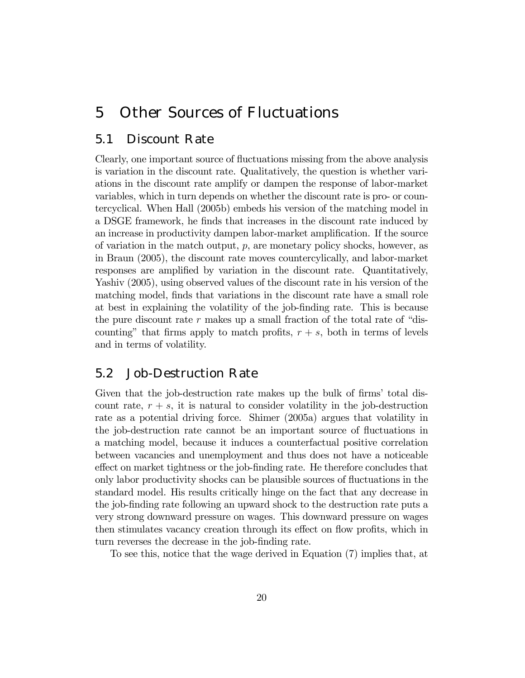### 5 Other Sources of Fluctuations

#### 5.1 Discount Rate

Clearly, one important source of fluctuations missing from the above analysis is variation in the discount rate. Qualitatively, the question is whether variations in the discount rate amplify or dampen the response of labor-market variables, which in turn depends on whether the discount rate is pro- or countercyclical. When Hall (2005b) embeds his version of the matching model in a DSGE framework, he finds that increases in the discount rate induced by an increase in productivity dampen labor-market amplification. If the source of variation in the match output,  $p$ , are monetary policy shocks, however, as in Braun (2005), the discount rate moves countercylically, and labor-market responses are amplified by variation in the discount rate. Quantitatively, Yashiv (2005), using observed values of the discount rate in his version of the matching model, finds that variations in the discount rate have a small role at best in explaining the volatility of the job-finding rate. This is because the pure discount rate  $r$  makes up a small fraction of the total rate of "discounting" that firms apply to match profits,  $r + s$ , both in terms of levels and in terms of volatility.

#### 5.2 Job-Destruction Rate

Given that the job-destruction rate makes up the bulk of firms' total discount rate,  $r + s$ , it is natural to consider volatility in the job-destruction rate as a potential driving force. Shimer (2005a) argues that volatility in the job-destruction rate cannot be an important source of fluctuations in a matching model, because it induces a counterfactual positive correlation between vacancies and unemployment and thus does not have a noticeable effect on market tightness or the job-finding rate. He therefore concludes that only labor productivity shocks can be plausible sources of fluctuations in the standard model. His results critically hinge on the fact that any decrease in the job-finding rate following an upward shock to the destruction rate puts a very strong downward pressure on wages. This downward pressure on wages then stimulates vacancy creation through its effect on flow profits, which in turn reverses the decrease in the job-finding rate.

To see this, notice that the wage derived in Equation (7) implies that, at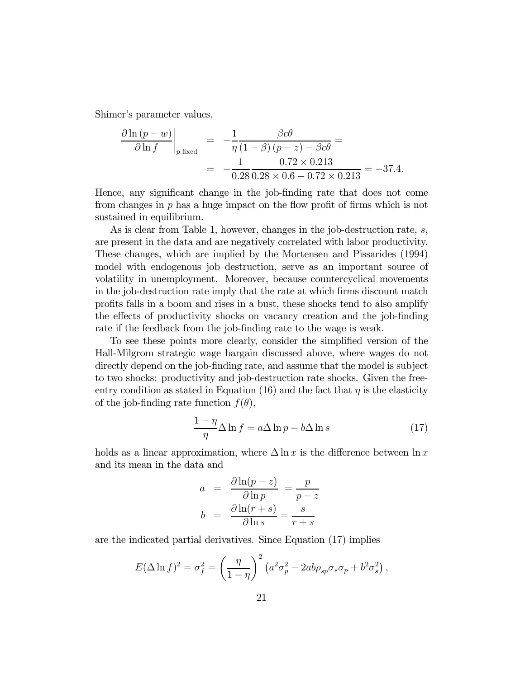Shimer's parameter values,

$$
\frac{\partial \ln (p - w)}{\partial \ln f}\Big|_{p \text{ fixed}} = -\frac{1}{\eta} \frac{\beta c \theta}{(1 - \beta) (p - z) - \beta c \theta} = -\frac{1}{0.28 \, 0.28 \times 0.6 - 0.72 \times 0.213} = -37.4.
$$

Hence, any significant change in the job-finding rate that does not come from changes in p has a huge impact on the flow profit of firms which is not sustained in equilibrium.

As is clear from Table 1, however, changes in the job-destruction rate, s, are present in the data and are negatively correlated with labor productivity. These changes, which are implied by the Mortensen and Pissarides (1994) model with endogenous job destruction, serve as an important source of volatility in unemployment. Moreover, because countercyclical movements in the job-destruction rate imply that the rate at which firms discount match profits falls in a boom and rises in a bust, these shocks tend to also amplify the effects of productivity shocks on vacancy creation and the job-finding rate if the feedback from the job-finding rate to the wage is weak.

To see these points more clearly, consider the simplified version of the Hall-Milgrom strategic wage bargain discussed above, where wages do not directly depend on the job-finding rate, and assume that the model is subject to two shocks: productivity and job-destruction rate shocks. Given the freeentry condition as stated in Equation (16) and the fact that  $\eta$  is the elasticity of the job-finding rate function  $f(\theta)$ ,

$$
\frac{1-\eta}{\eta} \Delta \ln f = a \Delta \ln p - b \Delta \ln s \tag{17}
$$

holds as a linear approximation, where  $\Delta \ln x$  is the difference between  $\ln x$ and its mean in the data and

$$
a = \frac{\partial \ln(p-z)}{\partial \ln p} = \frac{p}{p-z}
$$

$$
b = \frac{\partial \ln(r+s)}{\partial \ln s} = \frac{s}{r+s}
$$

are the indicated partial derivatives. Since Equation (17) implies

$$
E(\Delta \ln f)^2 = \sigma_f^2 = \left(\frac{\eta}{1-\eta}\right)^2 \left(a^2 \sigma_p^2 - 2ab\rho_{sp} \sigma_s \sigma_p + b^2 \sigma_s^2\right),
$$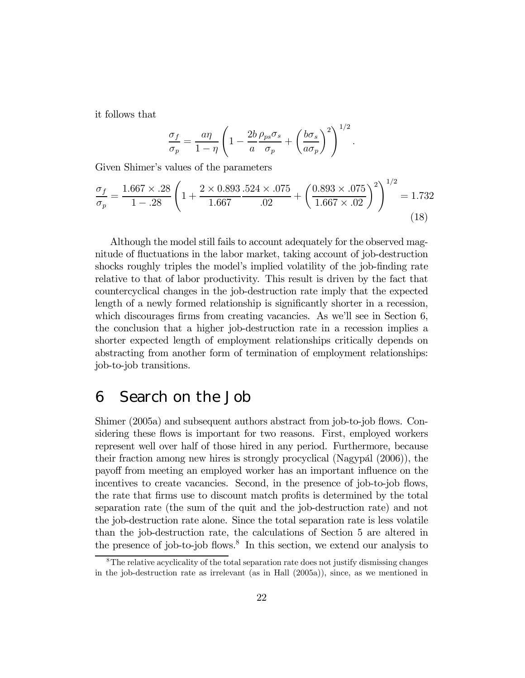it follows that

$$
\frac{\sigma_f}{\sigma_p} = \frac{a\eta}{1-\eta} \left( 1 - \frac{2b}{a} \frac{\rho_{ps}\sigma_s}{\sigma_p} + \left( \frac{b\sigma_s}{a\sigma_p} \right)^2 \right)^{1/2}.
$$

Given Shimer's values of the parameters

$$
\frac{\sigma_f}{\sigma_p} = \frac{1.667 \times .28}{1 - .28} \left( 1 + \frac{2 \times 0.893}{1.667} \cdot \frac{.524 \times .075}{.02} + \left( \frac{0.893 \times .075}{1.667 \times .02} \right)^2 \right)^{1/2} = 1.732
$$
\n(18)

Although the model still fails to account adequately for the observed magnitude of fluctuations in the labor market, taking account of job-destruction shocks roughly triples the model's implied volatility of the job-finding rate relative to that of labor productivity. This result is driven by the fact that countercyclical changes in the job-destruction rate imply that the expected length of a newly formed relationship is significantly shorter in a recession, which discourages firms from creating vacancies. As we'll see in Section 6, the conclusion that a higher job-destruction rate in a recession implies a shorter expected length of employment relationships critically depends on abstracting from another form of termination of employment relationships: job-to-job transitions.

### 6 Search on the Job

Shimer (2005a) and subsequent authors abstract from job-to-job flows. Considering these flows is important for two reasons. First, employed workers represent well over half of those hired in any period. Furthermore, because their fraction among new hires is strongly procyclical (Nagypál  $(2006)$ ), the payoff from meeting an employed worker has an important influence on the incentives to create vacancies. Second, in the presence of job-to-job flows, the rate that firms use to discount match profits is determined by the total separation rate (the sum of the quit and the job-destruction rate) and not the job-destruction rate alone. Since the total separation rate is less volatile than the job-destruction rate, the calculations of Section 5 are altered in the presence of job-to-job flows.<sup>8</sup> In this section, we extend our analysis to

<sup>8</sup>The relative acyclicality of the total separation rate does not justify dismissing changes in the job-destruction rate as irrelevant (as in Hall (2005a)), since, as we mentioned in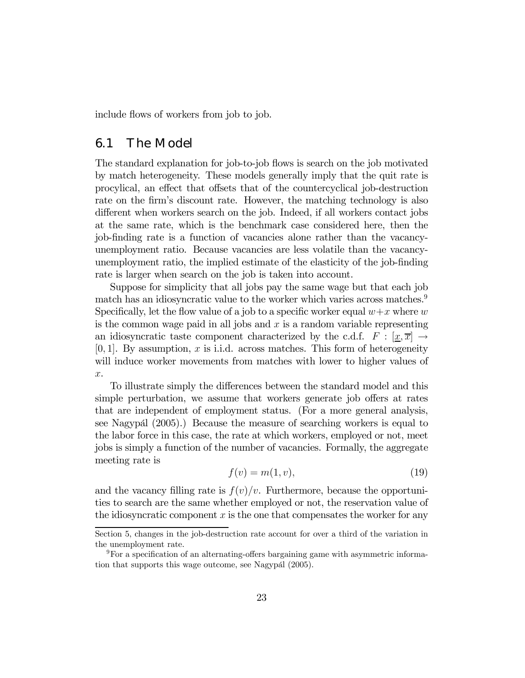include flows of workers from job to job.

#### 6.1 The Model

The standard explanation for job-to-job flows is search on the job motivated by match heterogeneity. These models generally imply that the quit rate is procylical, an effect that offsets that of the countercyclical job-destruction rate on the firm's discount rate. However, the matching technology is also different when workers search on the job. Indeed, if all workers contact jobs at the same rate, which is the benchmark case considered here, then the job-finding rate is a function of vacancies alone rather than the vacancyunemployment ratio. Because vacancies are less volatile than the vacancyunemployment ratio, the implied estimate of the elasticity of the job-finding rate is larger when search on the job is taken into account.

Suppose for simplicity that all jobs pay the same wage but that each job match has an idiosyncratic value to the worker which varies across matches.<sup>9</sup> Specifically, let the flow value of a job to a specific worker equal  $w+x$  where w is the common wage paid in all jobs and  $x$  is a random variable representing an idiosyncratic taste component characterized by the c.d.f.  $F : [x, \overline{x}] \rightarrow$  $[0, 1]$ . By assumption, x is i.i.d. across matches. This form of heterogeneity will induce worker movements from matches with lower to higher values of x.

To illustrate simply the differences between the standard model and this simple perturbation, we assume that workers generate job offers at rates that are independent of employment status. (For a more general analysis, see Nagypál (2005).) Because the measure of searching workers is equal to the labor force in this case, the rate at which workers, employed or not, meet jobs is simply a function of the number of vacancies. Formally, the aggregate meeting rate is

$$
f(v) = m(1, v),\tag{19}
$$

and the vacancy filling rate is  $f(v)/v$ . Furthermore, because the opportunities to search are the same whether employed or not, the reservation value of the idiosyncratic component  $x$  is the one that compensates the worker for any

Section 5, changes in the job-destruction rate account for over a third of the variation in the unemployment rate.

<sup>9</sup>For a specification of an alternating-offers bargaining game with asymmetric information that supports this wage outcome, see Nagypál (2005).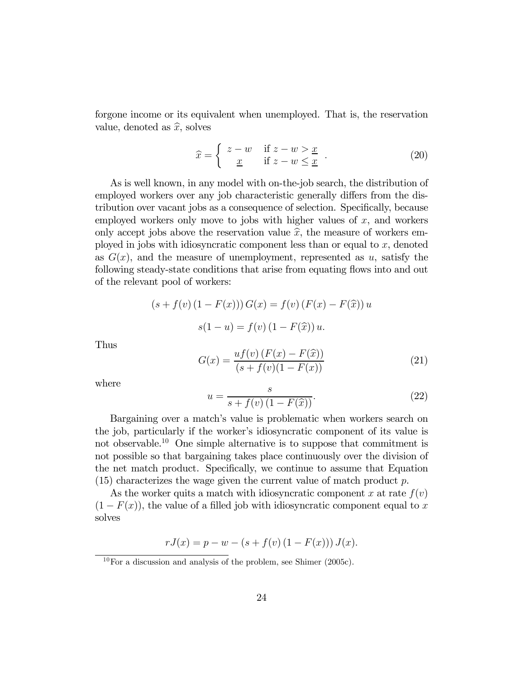forgone income or its equivalent when unemployed. That is, the reservation value, denoted as  $\hat{x}$ , solves

$$
\widehat{x} = \begin{cases}\n z - w & \text{if } z - w > \underline{x} \\
 \underline{x} & \text{if } z - w \le \underline{x}\n\end{cases} .
$$
\n(20)

As is well known, in any model with on-the-job search, the distribution of employed workers over any job characteristic generally differs from the distribution over vacant jobs as a consequence of selection. Specifically, because employed workers only move to jobs with higher values of  $x$ , and workers only accept jobs above the reservation value  $\hat{x}$ , the measure of workers employed in jobs with idiosyncratic component less than or equal to  $x$ , denoted as  $G(x)$ , and the measure of unemployment, represented as u, satisfy the following steady-state conditions that arise from equating flows into and out of the relevant pool of workers:

$$
(s + f(v) (1 - F(x))) G(x) = f(v) (F(x) - F(\hat{x})) u
$$

$$
s(1 - u) = f(v) (1 - F(\hat{x})) u.
$$

Thus

$$
G(x) = \frac{uf(v) (F(x) - F(\hat{x}))}{(s + f(v)(1 - F(x))}
$$
\n(21)

where

$$
u = \frac{s}{s + f(v)(1 - F(\widehat{x}))}.
$$
\n(22)

Bargaining over a match's value is problematic when workers search on the job, particularly if the workerís idiosyncratic component of its value is not observable.<sup>10</sup> One simple alternative is to suppose that commitment is not possible so that bargaining takes place continuously over the division of the net match product. Specifically, we continue to assume that Equation  $(15)$  characterizes the wage given the current value of match product p.

As the worker quits a match with idiosyncratic component x at rate  $f(v)$  $(1 - F(x))$ , the value of a filled job with idiosyncratic component equal to x solves

$$
rJ(x) = p - w - (s + f(v) (1 - F(x))) J(x).
$$

 $10$  For a discussion and analysis of the problem, see Shimer (2005c).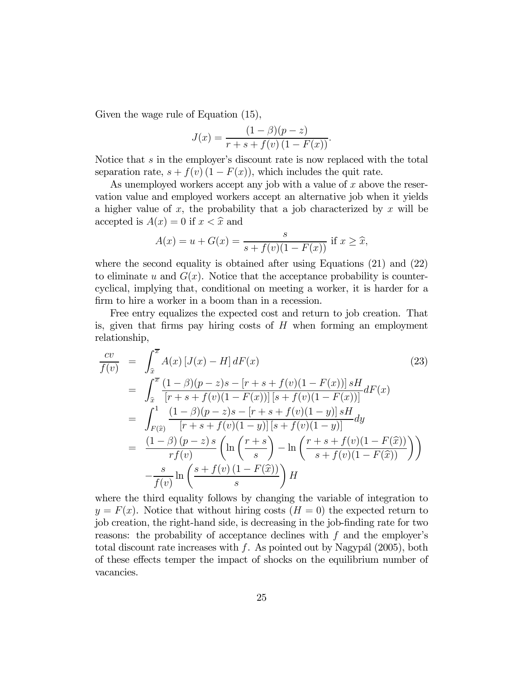Given the wage rule of Equation (15),

$$
J(x) = \frac{(1 - \beta)(p - z)}{r + s + f(v) (1 - F(x))}.
$$

Notice that  $s$  in the employer's discount rate is now replaced with the total separation rate,  $s + f(v) (1 - F(x))$ , which includes the quit rate.

As unemployed workers accept any job with a value of  $x$  above the reservation value and employed workers accept an alternative job when it yields a higher value of x, the probability that a job characterized by  $x$  will be accepted is  $A(x)=0$  if  $x < \hat{x}$  and

$$
A(x) = u + G(x) = \frac{s}{s + f(v)(1 - F(x))}
$$
 if  $x \ge \hat{x}$ ,

where the second equality is obtained after using Equations (21) and (22) to eliminate u and  $G(x)$ . Notice that the acceptance probability is countercyclical, implying that, conditional on meeting a worker, it is harder for a firm to hire a worker in a boom than in a recession.

Free entry equalizes the expected cost and return to job creation. That is, given that firms pay hiring costs of  $H$  when forming an employment relationship,

$$
\frac{cv}{f(v)} = \int_{\hat{x}}^{\bar{x}} A(x) [J(x) - H] dF(x)
$$
\n
$$
= \int_{\hat{x}}^{\bar{x}} \frac{(1 - \beta)(p - z)s - [r + s + f(v)(1 - F(x))] sH}{[r + s + f(v)(1 - F(x))][s + f(v)(1 - F(x))] } dF(x)
$$
\n
$$
= \int_{F(\hat{x})}^{1} \frac{(1 - \beta)(p - z)s - [r + s + f(v)(1 - y)] sH}{[r + s + f(v)(1 - y)][s + f(v)(1 - y)] } dy
$$
\n
$$
= \frac{(1 - \beta)(p - z)s}{rf(v)} \left( \ln \left( \frac{r + s}{s} \right) - \ln \left( \frac{r + s + f(v)(1 - F(\hat{x}))}{s + f(v)(1 - F(\hat{x}))} \right) \right)
$$
\n
$$
- \frac{s}{f(v)} \ln \left( \frac{s + f(v) (1 - F(\hat{x}))}{s} \right) H
$$
\n(8.12)

where the third equality follows by changing the variable of integration to  $y = F(x)$ . Notice that without hiring costs  $(H = 0)$  the expected return to job creation, the right-hand side, is decreasing in the job-finding rate for two reasons: the probability of acceptance declines with  $f$  and the employer's total discount rate increases with  $f$ . As pointed out by Nagypál (2005), both of these effects temper the impact of shocks on the equilibrium number of vacancies.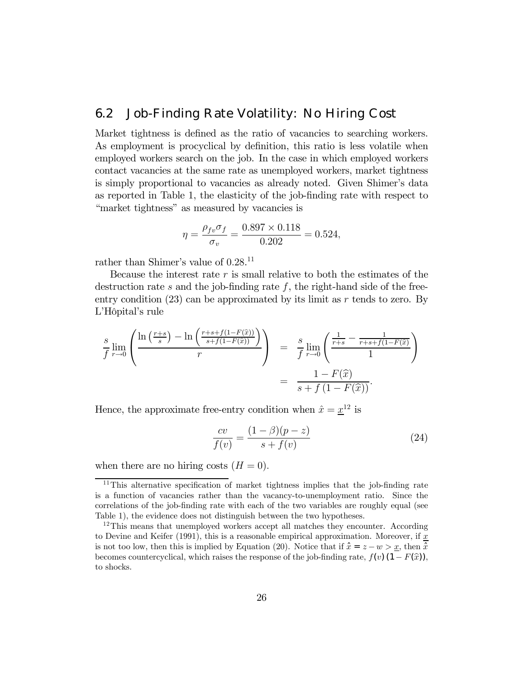### 6.2 Job-Finding Rate Volatility: No Hiring Cost

Market tightness is defined as the ratio of vacancies to searching workers. As employment is procyclical by definition, this ratio is less volatile when employed workers search on the job. In the case in which employed workers contact vacancies at the same rate as unemployed workers, market tightness is simply proportional to vacancies as already noted. Given Shimer's data as reported in Table 1, the elasticity of the job-finding rate with respect to "market tightness" as measured by vacancies is

$$
\eta = \frac{\rho_{fv}\sigma_f}{\sigma_v} = \frac{0.897 \times 0.118}{0.202} = 0.524,
$$

rather than Shimer's value of  $0.28$ <sup>11</sup>

Because the interest rate  $r$  is small relative to both the estimates of the destruction rate s and the job-finding rate  $f$ , the right-hand side of the freeentry condition  $(23)$  can be approximated by its limit as r tends to zero. By L'Hôpital's rule

$$
\frac{s}{f} \lim_{r \to 0} \left( \frac{\ln \left( \frac{r+s}{s} \right) - \ln \left( \frac{r+s+f(1-F(\hat{x}))}{s+f(1-F(\hat{x}))} \right)}{r} \right) = \frac{s}{f} \lim_{r \to 0} \left( \frac{\frac{1}{r+s} - \frac{1}{r+s+f(1-F(\hat{x}))}}{1} \right)
$$
\n
$$
= \frac{1 - F(\hat{x})}{s + f(1 - F(\hat{x}))}.
$$

Hence, the approximate free-entry condition when  $\hat{x} = x^{12}$  is

$$
\frac{cv}{f(v)} = \frac{(1-\beta)(p-z)}{s+f(v)}
$$
\n(24)

when there are no hiring costs  $(H = 0)$ .

<sup>&</sup>lt;sup>11</sup>This alternative specification of market tightness implies that the job-finding rate is a function of vacancies rather than the vacancy-to-unemployment ratio. Since the correlations of the job-finding rate with each of the two variables are roughly equal (see Table 1), the evidence does not distinguish between the two hypotheses.

<sup>&</sup>lt;sup>12</sup>This means that unemployed workers accept all matches they encounter. According to Devine and Keifer (1991), this is a reasonable empirical approximation. Moreover, if  $\underline{x}$ is not too low, then this is implied by Equation (20). Notice that if  $\hat{x} = z - w > x$ , then  $\hat{x}$ becomes countercyclical, which raises the response of the job-finding rate,  $f(v)$  (1 –  $F(\hat{x})$ ), to shocks.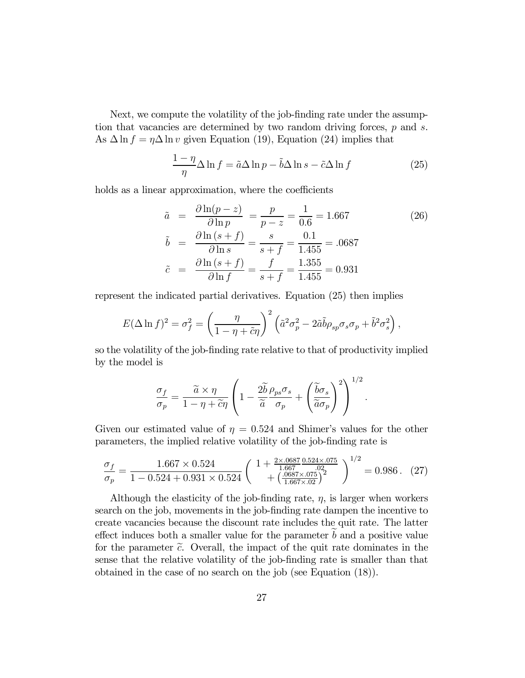Next, we compute the volatility of the job-finding rate under the assumption that vacancies are determined by two random driving forces,  $p$  and  $s$ . As  $\Delta \ln f = \eta \Delta \ln v$  given Equation (19), Equation (24) implies that

$$
\frac{1-\eta}{\eta} \Delta \ln f = \tilde{a} \Delta \ln p - \tilde{b} \Delta \ln s - \tilde{c} \Delta \ln f \tag{25}
$$

holds as a linear approximation, where the coefficients

$$
\tilde{a} = \frac{\partial \ln(p-z)}{\partial \ln p} = \frac{p}{p-z} = \frac{1}{0.6} = 1.667
$$
\n
$$
\tilde{b} = \frac{\partial \ln(s+f)}{\partial \ln s} = \frac{s}{s+f} = \frac{0.1}{1.455} = .0687
$$
\n
$$
\tilde{c} = \frac{\partial \ln(s+f)}{\partial \ln f} = \frac{f}{s+f} = \frac{1.355}{1.455} = 0.931
$$
\n(26)

represent the indicated partial derivatives. Equation (25) then implies

$$
E(\Delta \ln f)^2 = \sigma_f^2 = \left(\frac{\eta}{1 - \eta + \tilde{c}\eta}\right)^2 \left(\tilde{a}^2 \sigma_p^2 - 2\tilde{a}\tilde{b}\rho_{sp}\sigma_s\sigma_p + \tilde{b}^2\sigma_s^2\right),
$$

so the volatility of the job-finding rate relative to that of productivity implied by the model is

$$
\frac{\sigma_f}{\sigma_p} = \frac{\widetilde{a} \times \eta}{1 - \eta + \widetilde{c}\eta} \left( 1 - \frac{2\widetilde{b}}{\widetilde{a}} \frac{\rho_{ps}\sigma_s}{\sigma_p} + \left( \frac{\widetilde{b}\sigma_s}{\widetilde{a}\sigma_p} \right)^2 \right)^{1/2}.
$$

Given our estimated value of  $\eta = 0.524$  and Shimer's values for the other parameters, the implied relative volatility of the job-finding rate is

$$
\frac{\sigma_f}{\sigma_p} = \frac{1.667 \times 0.524}{1 - 0.524 + 0.931 \times 0.524} \left( \begin{array}{c} 1 + \frac{2 \times .0687}{1.667} \frac{0.524 \times .075}{.02} \\ + \left( \frac{.0687 \times .075}{1.667 \times .02} \right)^2 \end{array} \right)^{1/2} = 0.986. (27)
$$

Although the elasticity of the job-finding rate,  $\eta$ , is larger when workers search on the job, movements in the job-finding rate dampen the incentive to create vacancies because the discount rate includes the quit rate. The latter effect induces both a smaller value for the parameter  $b$  and a positive value for the parameter  $\tilde{c}$ . Overall, the impact of the quit rate dominates in the sense that the relative volatility of the job-finding rate is smaller than that obtained in the case of no search on the job (see Equation (18)).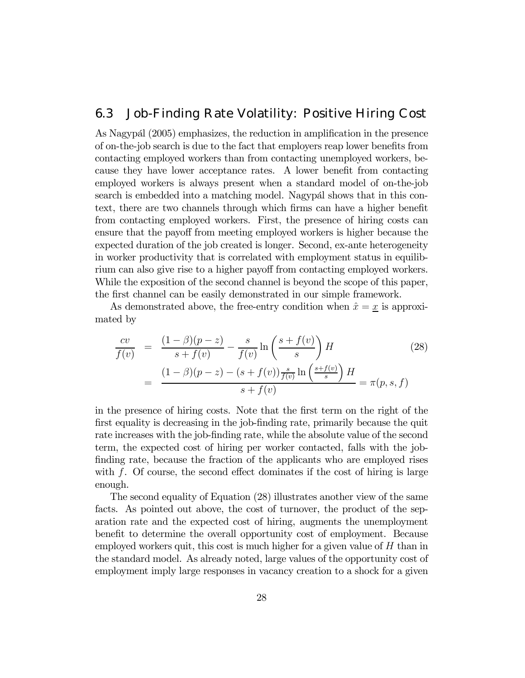### 6.3 Job-Finding Rate Volatility: Positive Hiring Cost

As Nagypál (2005) emphasizes, the reduction in amplification in the presence of on-the-job search is due to the fact that employers reap lower benefits from contacting employed workers than from contacting unemployed workers, because they have lower acceptance rates. A lower benefit from contacting employed workers is always present when a standard model of on-the-job search is embedded into a matching model. Nagypal shows that in this context, there are two channels through which firms can have a higher benefit from contacting employed workers. First, the presence of hiring costs can ensure that the payoff from meeting employed workers is higher because the expected duration of the job created is longer. Second, ex-ante heterogeneity in worker productivity that is correlated with employment status in equilibrium can also give rise to a higher payoff from contacting employed workers. While the exposition of the second channel is beyond the scope of this paper, the first channel can be easily demonstrated in our simple framework.

As demonstrated above, the free-entry condition when  $\hat{x} = \underline{x}$  is approximated by

$$
\frac{cv}{f(v)} = \frac{(1-\beta)(p-z)}{s+f(v)} - \frac{s}{f(v)}\ln\left(\frac{s+f(v)}{s}\right)H
$$
\n
$$
= \frac{(1-\beta)(p-z) - (s+f(v))\frac{s}{f(v)}\ln\left(\frac{s+f(v)}{s}\right)H}{s+f(v)} = \pi(p,s,f)
$$
\n(28)

in the presence of hiring costs. Note that the first term on the right of the first equality is decreasing in the job-finding rate, primarily because the quit rate increases with the job-finding rate, while the absolute value of the second term, the expected cost of hiring per worker contacted, falls with the jobfinding rate, because the fraction of the applicants who are employed rises with  $f$ . Of course, the second effect dominates if the cost of hiring is large enough.

The second equality of Equation (28) illustrates another view of the same facts. As pointed out above, the cost of turnover, the product of the separation rate and the expected cost of hiring, augments the unemployment benefit to determine the overall opportunity cost of employment. Because employed workers quit, this cost is much higher for a given value of  $H$  than in the standard model. As already noted, large values of the opportunity cost of employment imply large responses in vacancy creation to a shock for a given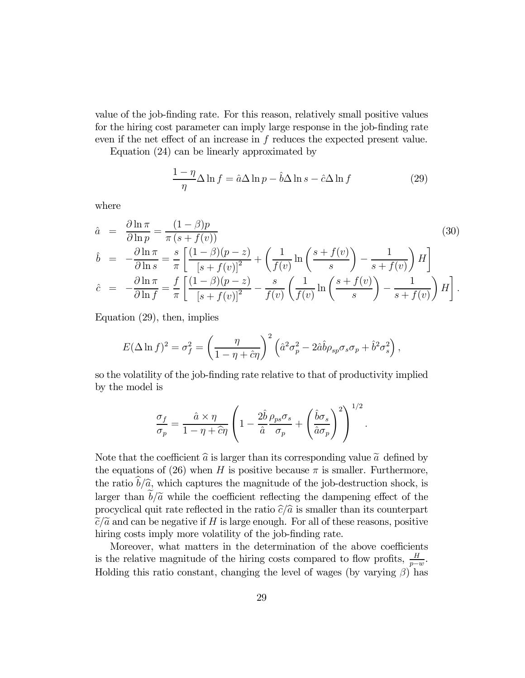value of the job-finding rate. For this reason, relatively small positive values for the hiring cost parameter can imply large response in the job-finding rate even if the net effect of an increase in f reduces the expected present value.

Equation (24) can be linearly approximated by

$$
\frac{1-\eta}{\eta} \Delta \ln f = \hat{a} \Delta \ln p - \hat{b} \Delta \ln s - \hat{c} \Delta \ln f \tag{29}
$$

where

$$
\hat{a} = \frac{\partial \ln \pi}{\partial \ln p} = \frac{(1 - \beta)p}{\pi (s + f(v))}
$$
\n
$$
\hat{b} = -\frac{\partial \ln \pi}{\partial \ln s} = \frac{s}{\pi} \left[ \frac{(1 - \beta)(p - z)}{[s + f(v)]^2} + \left( \frac{1}{f(v)} \ln \left( \frac{s + f(v)}{s} \right) - \frac{1}{s + f(v)} \right) H \right]
$$
\n
$$
\hat{c} = -\frac{\partial \ln \pi}{\partial \ln f} = \frac{f}{\pi} \left[ \frac{(1 - \beta)(p - z)}{[s + f(v)]^2} - \frac{s}{f(v)} \left( \frac{1}{f(v)} \ln \left( \frac{s + f(v)}{s} \right) - \frac{1}{s + f(v)} \right) H \right].
$$
\n(30)

Equation (29), then, implies

$$
E(\Delta \ln f)^2 = \sigma_f^2 = \left(\frac{\eta}{1 - \eta + \hat{c}\eta}\right)^2 \left(\hat{a}^2 \sigma_p^2 - 2\hat{a}\hat{b}\rho_{sp}\sigma_s\sigma_p + \hat{b}^2\sigma_s^2\right),
$$

so the volatility of the job-finding rate relative to that of productivity implied by the model is

$$
\frac{\sigma_f}{\sigma_p} = \frac{\hat{a} \times \eta}{1 - \eta + \hat{c}\eta} \left( 1 - \frac{2\hat{b}\rho_{ps}\sigma_s}{\hat{a}\sigma_p} + \left(\frac{\hat{b}\sigma_s}{\hat{a}\sigma_p}\right)^2 \right)^{1/2}
$$

.

Note that the coefficient  $\hat{a}$  is larger than its corresponding value  $\tilde{a}$  defined by the equations of (26) when H is positive because  $\pi$  is smaller. Furthermore, the ratio  $\hat{b}/\hat{a}$ , which captures the magnitude of the job-destruction shock, is larger than  $b/\tilde{a}$  while the coefficient reflecting the dampening effect of the procyclical quit rate reflected in the ratio  $\hat{c}/\hat{a}$  is smaller than its counterpart  $\tilde{c}/\tilde{a}$  and can be negative if H is large enough. For all of these reasons, positive hiring costs imply more volatility of the job-finding rate.

Moreover, what matters in the determination of the above coefficients is the relative magnitude of the hiring costs compared to flow profits,  $\frac{H}{p-w}$ . Holding this ratio constant, changing the level of wages (by varying  $\beta$ ) has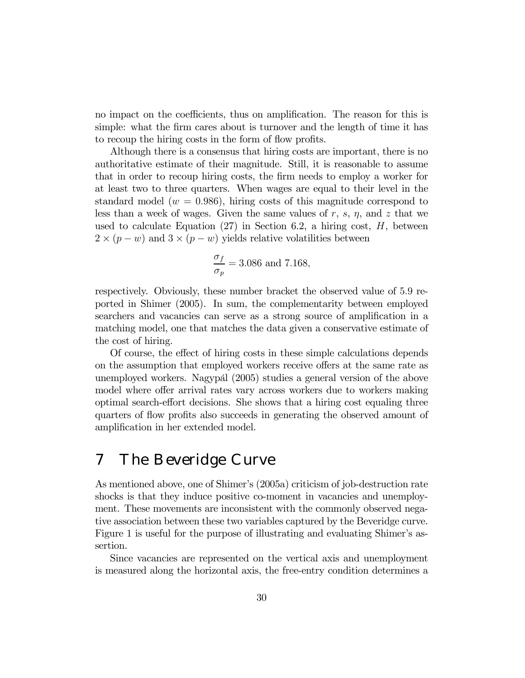no impact on the coefficients, thus on amplification. The reason for this is simple: what the firm cares about is turnover and the length of time it has to recoup the hiring costs in the form of flow profits.

Although there is a consensus that hiring costs are important, there is no authoritative estimate of their magnitude. Still, it is reasonable to assume that in order to recoup hiring costs, the firm needs to employ a worker for at least two to three quarters. When wages are equal to their level in the standard model ( $w = 0.986$ ), hiring costs of this magnitude correspond to less than a week of wages. Given the same values of  $r$ ,  $s$ ,  $\eta$ , and  $z$  that we used to calculate Equation  $(27)$  in Section 6.2, a hiring cost, H, between  $2 \times (p - w)$  and  $3 \times (p - w)$  yields relative volatilities between

$$
\frac{\sigma_f}{\sigma_p} = 3.086
$$
 and 7.168,

respectively. Obviously, these number bracket the observed value of 5.9 reported in Shimer (2005). In sum, the complementarity between employed searchers and vacancies can serve as a strong source of amplification in a matching model, one that matches the data given a conservative estimate of the cost of hiring.

Of course, the effect of hiring costs in these simple calculations depends on the assumption that employed workers receive offers at the same rate as unemployed workers. Nagypál (2005) studies a general version of the above model where offer arrival rates vary across workers due to workers making optimal search-effort decisions. She shows that a hiring cost equaling three quarters of flow profits also succeeds in generating the observed amount of amplification in her extended model.

# 7 The Beveridge Curve

As mentioned above, one of Shimer's (2005a) criticism of job-destruction rate shocks is that they induce positive co-moment in vacancies and unemployment. These movements are inconsistent with the commonly observed negative association between these two variables captured by the Beveridge curve. Figure 1 is useful for the purpose of illustrating and evaluating Shimer's assertion.

Since vacancies are represented on the vertical axis and unemployment is measured along the horizontal axis, the free-entry condition determines a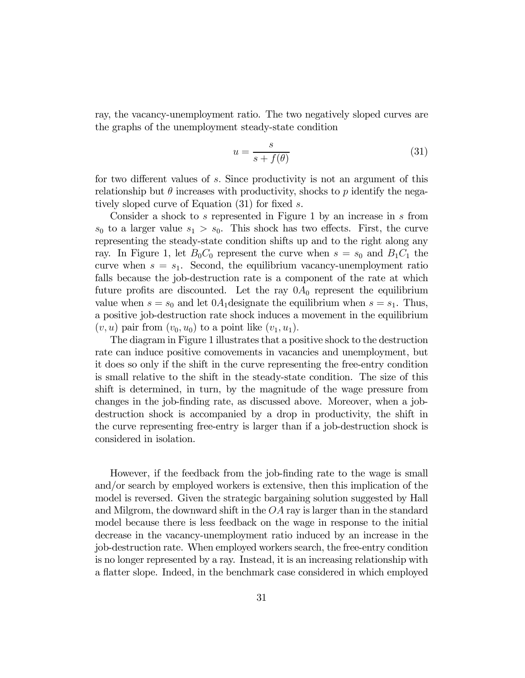ray, the vacancy-unemployment ratio. The two negatively sloped curves are the graphs of the unemployment steady-state condition

$$
u = \frac{s}{s + f(\theta)}\tag{31}
$$

for two different values of s. Since productivity is not an argument of this relationship but  $\theta$  increases with productivity, shocks to p identify the negatively sloped curve of Equation (31) for fixed s.

Consider a shock to s represented in Figure 1 by an increase in s from  $s_0$  to a larger value  $s_1 > s_0$ . This shock has two effects. First, the curve representing the steady-state condition shifts up and to the right along any ray. In Figure 1, let  $B_0C_0$  represent the curve when  $s = s_0$  and  $B_1C_1$  the curve when  $s = s_1$ . Second, the equilibrium vacancy-unemployment ratio falls because the job-destruction rate is a component of the rate at which future profits are discounted. Let the ray  $0A_0$  represent the equilibrium value when  $s = s_0$  and let  $0A_1$  designate the equilibrium when  $s = s_1$ . Thus, a positive job-destruction rate shock induces a movement in the equilibrium  $(v, u)$  pair from  $(v_0, u_0)$  to a point like  $(v_1, u_1)$ .

The diagram in Figure 1 illustrates that a positive shock to the destruction rate can induce positive comovements in vacancies and unemployment, but it does so only if the shift in the curve representing the free-entry condition is small relative to the shift in the steady-state condition. The size of this shift is determined, in turn, by the magnitude of the wage pressure from changes in the job-finding rate, as discussed above. Moreover, when a jobdestruction shock is accompanied by a drop in productivity, the shift in the curve representing free-entry is larger than if a job-destruction shock is considered in isolation.

However, if the feedback from the job-finding rate to the wage is small and/or search by employed workers is extensive, then this implication of the model is reversed. Given the strategic bargaining solution suggested by Hall and Milgrom, the downward shift in the  $OA$  ray is larger than in the standard model because there is less feedback on the wage in response to the initial decrease in the vacancy-unemployment ratio induced by an increase in the job-destruction rate. When employed workers search, the free-entry condition is no longer represented by a ray. Instead, it is an increasing relationship with a flatter slope. Indeed, in the benchmark case considered in which employed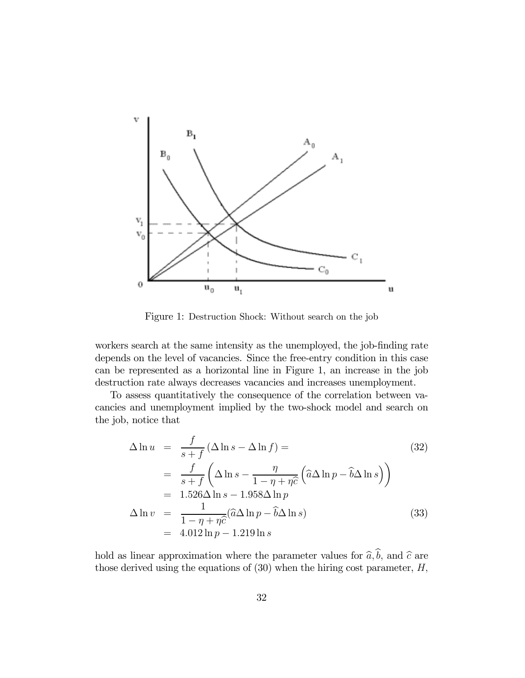

Figure 1: Destruction Shock: Without search on the job

workers search at the same intensity as the unemployed, the job-finding rate depends on the level of vacancies. Since the free-entry condition in this case can be represented as a horizontal line in Figure 1, an increase in the job destruction rate always decreases vacancies and increases unemployment.

To assess quantitatively the consequence of the correlation between vacancies and unemployment implied by the two-shock model and search on the job, notice that

$$
\Delta \ln u = \frac{f}{s+f} (\Delta \ln s - \Delta \ln f) =
$$
\n
$$
= \frac{f}{s+f} \left( \Delta \ln s - \frac{\eta}{1-\eta+\eta \hat{c}} \left( \hat{a} \Delta \ln p - \hat{b} \Delta \ln s \right) \right)
$$
\n
$$
= 1.526 \Delta \ln s - 1.958 \Delta \ln p
$$
\n
$$
\Delta \ln v = \frac{1}{1-\eta+\eta \hat{c}} (\hat{a} \Delta \ln p - \hat{b} \Delta \ln s)
$$
\n
$$
= 4.012 \ln p - 1.219 \ln s
$$
\n(33)

hold as linear approximation where the parameter values for  $\hat{a}, \hat{b}$ , and  $\hat{c}$  are those derived using the equations of  $(30)$  when the hiring cost parameter,  $H$ ,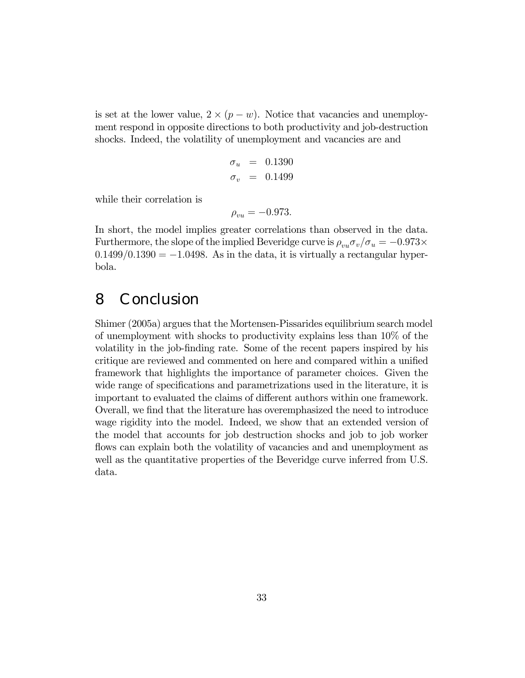is set at the lower value,  $2 \times (p - w)$ . Notice that vacancies and unemployment respond in opposite directions to both productivity and job-destruction shocks. Indeed, the volatility of unemployment and vacancies are and

$$
\begin{array}{rcl}\n\sigma_u & = & 0.1390 \\
\sigma_v & = & 0.1499\n\end{array}
$$

while their correlation is

$$
\rho_{vu} = -0.973.
$$

In short, the model implies greater correlations than observed in the data. Furthermore, the slope of the implied Beveridge curve is  $\rho_{vu}\sigma_v/\sigma_u = -0.973 \times$  $0.1499/0.1390 = -1.0498$ . As in the data, it is virtually a rectangular hyperbola.

## 8 Conclusion

Shimer (2005a) argues that the Mortensen-Pissarides equilibrium search model of unemployment with shocks to productivity explains less than 10% of the volatility in the job-finding rate. Some of the recent papers inspired by his critique are reviewed and commented on here and compared within a unified framework that highlights the importance of parameter choices. Given the wide range of specifications and parametrizations used in the literature, it is important to evaluated the claims of different authors within one framework. Overall, we find that the literature has overemphasized the need to introduce wage rigidity into the model. Indeed, we show that an extended version of the model that accounts for job destruction shocks and job to job worker flows can explain both the volatility of vacancies and and unemployment as well as the quantitative properties of the Beveridge curve inferred from U.S. data.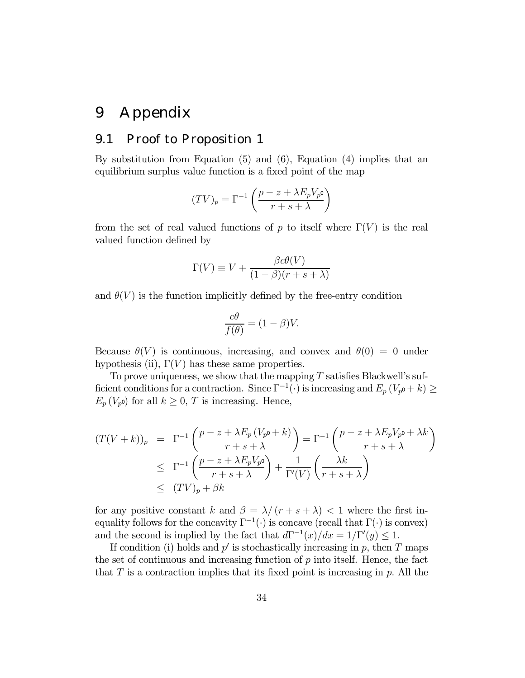# 9 Appendix

#### 9.1 Proof to Proposition 1

By substitution from Equation (5) and (6), Equation (4) implies that an equilibrium surplus value function is a fixed point of the map

$$
(TV)_p = \Gamma^{-1}\left(\frac{p-z+\lambda E_p V_{p^0}}{r+s+\lambda}\right)
$$

from the set of real valued functions of p to itself where  $\Gamma(V)$  is the real valued function defined by

$$
\Gamma(V) \equiv V + \frac{\beta c \theta(V)}{(1 - \beta)(r + s + \lambda)}
$$

and  $\theta(V)$  is the function implicitly defined by the free-entry condition

$$
\frac{c\theta}{f(\theta)} = (1 - \beta)V.
$$

Because  $\theta(V)$  is continuous, increasing, and convex and  $\theta(0) = 0$  under hypothesis (ii),  $\Gamma(V)$  has these same properties.

To prove uniqueness, we show that the mapping  $T$  satisfies Blackwell's sufficient conditions for a contraction. Since  $\Gamma^{-1}(\cdot)$  is increasing and  $E_p(V_{p^0}+k) \ge$  $E_p(V_{p^0})$  for all  $k \geq 0$ , T is increasing. Hence,

$$
(T(V+k))_p = \Gamma^{-1}\left(\frac{p-z+\lambda E_p(V_{p^0}+k)}{r+s+\lambda}\right) = \Gamma^{-1}\left(\frac{p-z+\lambda E_pV_{p^0}+\lambda k}{r+s+\lambda}\right)
$$
  

$$
\leq \Gamma^{-1}\left(\frac{p-z+\lambda E_pV_{p^0}}{r+s+\lambda}\right) + \frac{1}{\Gamma'(V)}\left(\frac{\lambda k}{r+s+\lambda}\right)
$$
  

$$
\leq (TV)_p + \beta k
$$

for any positive constant k and  $\beta = \lambda/(r + s + \lambda) < 1$  where the first inequality follows for the concavity  $\Gamma^{-1}(\cdot)$  is concave (recall that  $\Gamma(\cdot)$  is convex) and the second is implied by the fact that  $d\Gamma^{-1}(x)/dx = 1/\Gamma'(y) \leq 1$ .

If condition (i) holds and  $p'$  is stochastically increasing in p, then T maps the set of continuous and increasing function of  $p$  into itself. Hence, the fact that  $T$  is a contraction implies that its fixed point is increasing in  $p$ . All the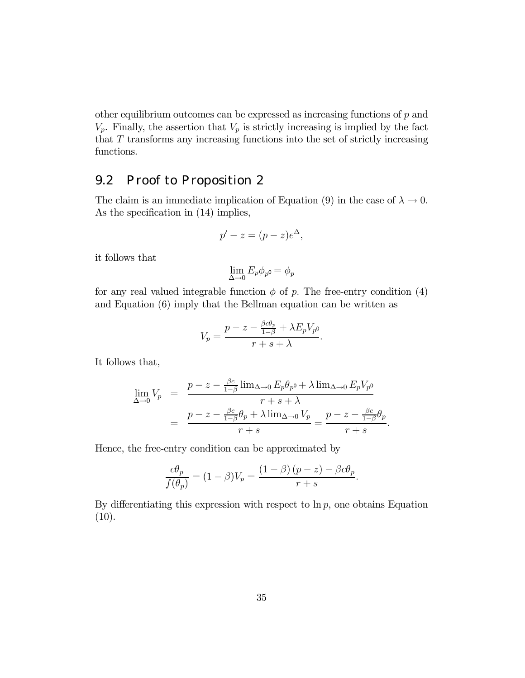other equilibrium outcomes can be expressed as increasing functions of  $p$  and  $V_p$ . Finally, the assertion that  $V_p$  is strictly increasing is implied by the fact that T transforms any increasing functions into the set of strictly increasing functions.

### 9.2 Proof to Proposition 2

The claim is an immediate implication of Equation (9) in the case of  $\lambda \to 0$ . As the specification in  $(14)$  implies,

$$
p'-z=(p-z)e^{\Delta},
$$

it follows that

$$
\lim_{\Delta\to 0}E_p\phi_{p^0}=\phi_p
$$

for any real valued integrable function  $\phi$  of p. The free-entry condition (4) and Equation (6) imply that the Bellman equation can be written as

$$
V_p = \frac{p - z - \frac{\beta c \theta_p}{1 - \beta} + \lambda E_p V_{p^0}}{r + s + \lambda}.
$$

It follows that,

$$
\lim_{\Delta \to 0} V_p = \frac{p - z - \frac{\beta c}{1 - \beta} \lim_{\Delta \to 0} E_p \theta_{p^0} + \lambda \lim_{\Delta \to 0} E_p V_{p^0}}{r + s + \lambda}
$$

$$
= \frac{p - z - \frac{\beta c}{1 - \beta} \theta_p + \lambda \lim_{\Delta \to 0} V_p}{r + s} = \frac{p - z - \frac{\beta c}{1 - \beta} \theta_p}{r + s}.
$$

Hence, the free-entry condition can be approximated by

$$
\frac{c\theta_p}{f(\theta_p)} = (1-\beta)V_p = \frac{(1-\beta)(p-z) - \beta c\theta_p}{r+s}.
$$

By differentiating this expression with respect to  $\ln p$ , one obtains Equation  $(10).$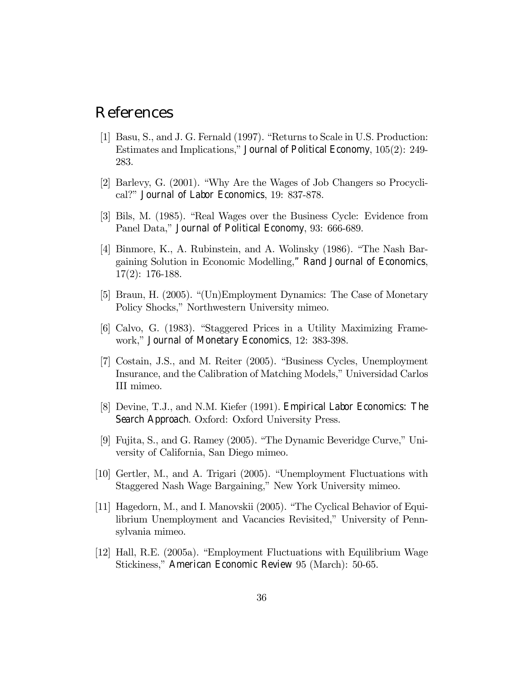### References

- [1] Basu, S., and J. G. Fernald  $(1997)$ . "Returns to Scale in U.S. Production: Estimates and Implications," Journal of Political Economy,  $105(2)$ : 249-283.
- [2] Barlevy, G. (2001). "Why Are the Wages of Job Changers so Procyclical?î Journal of Labor Economics, 19: 837-878.
- [3] Bils, M. (1985). "Real Wages over the Business Cycle: Evidence from Panel Data," Journal of Political Economy, 93: 666-689.
- [4] Binmore, K., A. Rubinstein, and A. Wolinsky  $(1986)$ . "The Nash Bargaining Solution in Economic Modelling," Rand Journal of Economics, 17(2): 176-188.
- [5] Braun, H. (2005). "(Un)Employment Dynamics: The Case of Monetary Policy Shocks," Northwestern University mimeo.
- [6] Calvo, G. (1983). "Staggered Prices in a Utility Maximizing Framework," Journal of Monetary Economics, 12: 383-398.
- [7] Costain, J.S., and M. Reiter (2005). "Business Cycles, Unemployment Insurance, and the Calibration of Matching Models," Universidad Carlos III mimeo.
- [8] Devine, T.J., and N.M. Kiefer (1991). Empirical Labor Economics: The Search Approach. Oxford: Oxford University Press.
- [9] Fujita, S., and G. Ramey  $(2005)$ . "The Dynamic Beveridge Curve," University of California, San Diego mimeo.
- $[10]$  Gertler, M., and A. Trigari (2005). "Unemployment Fluctuations with Staggered Nash Wage Bargaining," New York University mimeo.
- [11] Hagedorn, M., and I. Manovskii  $(2005)$ . "The Cyclical Behavior of Equilibrium Unemployment and Vacancies Revisited," University of Pennsylvania mimeo.
- [12] Hall, R.E. (2005a). "Employment Fluctuations with Equilibrium Wage Stickiness," American Economic Review 95 (March): 50-65.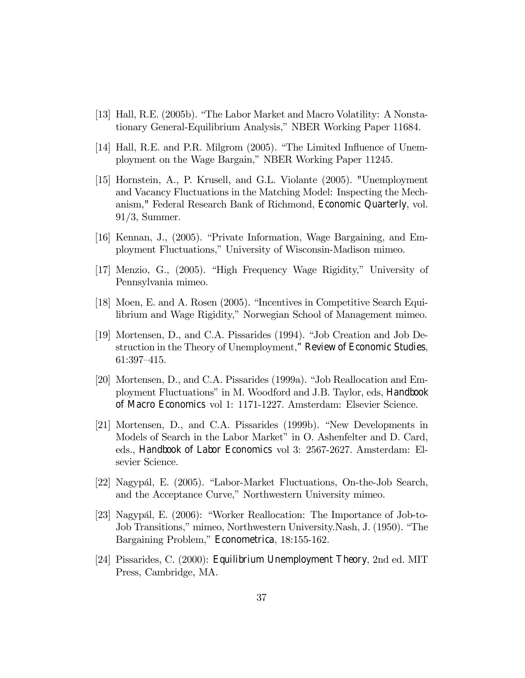- [13] Hall, R.E. (2005b). "The Labor Market and Macro Volatility: A Nonstationary General-Equilibrium Analysis," NBER Working Paper 11684.
- [14] Hall, R.E. and P.R. Milgrom  $(2005)$ . "The Limited Influence of Unemployment on the Wage Bargain," NBER Working Paper 11245.
- [15] Hornstein, A., P. Krusell, and G.L. Violante (2005). "Unemployment and Vacancy Fluctuations in the Matching Model: Inspecting the Mechanism," Federal Research Bank of Richmond, Economic Quarterly, vol. 91/3, Summer.
- [16] Kennan, J.,  $(2005)$ . "Private Information, Wage Bargaining, and Employment Fluctuations,î University of Wisconsin-Madison mimeo.
- [17] Menzio, G., (2005). "High Frequency Wage Rigidity," University of Pennsylvania mimeo.
- [18] Moen, E. and A. Rosen  $(2005)$ . "Incentives in Competitive Search Equilibrium and Wage Rigidity," Norwegian School of Management mimeo.
- [19] Mortensen, D., and C.A. Pissarides (1994). "Job Creation and Job Destruction in the Theory of Unemployment," Review of Economic Studies,  $61:397-415.$
- [20] Mortensen, D., and C.A. Pissarides (1999a). "Job Reallocation and Employment Fluctuationsî in M. Woodford and J.B. Taylor, eds, Handbook of Macro Economics vol 1: 1171-1227. Amsterdam: Elsevier Science.
- $[21]$  Mortensen, D., and C.A. Pissarides  $(1999b)$ . "New Developments in Models of Search in the Labor Market" in O. Ashenfelter and D. Card, eds., Handbook of Labor Economics vol 3: 2567-2627. Amsterdam: Elsevier Science.
- [22] Nagypál, E. (2005). "Labor-Market Fluctuations, On-the-Job Search, and the Acceptance Curve," Northwestern University mimeo.
- [23] Nagypál, E.  $(2006)$ : "Worker Reallocation: The Importance of Job-to-Job Transitions," mimeo, Northwestern University.Nash, J. (1950). "The Bargaining Problem," Econometrica, 18:155-162.
- [24] Pissarides, C. (2000): Equilibrium Unemployment Theory, 2nd ed. MIT Press, Cambridge, MA.